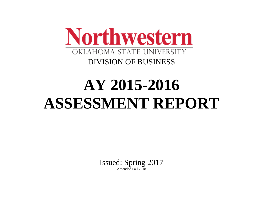

# **AY 2015-2016 ASSESSMENT REPORT**

Issued: Spring 2017 Amended Fall 2018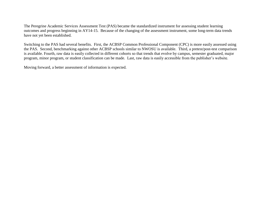The Peregrine Academic Services Assessment Test (PAS) became the standardized instrument for assessing student learning outcomes and progress beginning in AY14-15. Because of the changing of the assessment instrument, some long-term data trends have not yet been established.

Switching to the PAS had several benefits. First, the ACBSP Common Professional Component (CPC) is more easily assessed using the PAS. Second, benchmarking against other ACBSP schools similar to NWOSU is available. Third, a pretest/post-test comparison is available. Fourth, raw data is easily collected in different cohorts so that trends that evolve by campus, semester graduated, major program, minor program, or student classification can be made. Last, raw data is easily accessible from the publisher's website.

Moving forward, a better assessment of information is expected.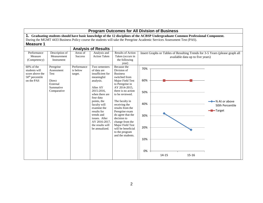| <b>Program Outcomes for All Division of Business</b>                              |                                                                                   |                                    |                                                                                                                                                                                                                                                                                         |                                                                                                                                                                                                                                                                                                                                                                                  |                                                     |       |                                                                                                                                    |                                                                             |  |  |  |
|-----------------------------------------------------------------------------------|-----------------------------------------------------------------------------------|------------------------------------|-----------------------------------------------------------------------------------------------------------------------------------------------------------------------------------------------------------------------------------------------------------------------------------------|----------------------------------------------------------------------------------------------------------------------------------------------------------------------------------------------------------------------------------------------------------------------------------------------------------------------------------------------------------------------------------|-----------------------------------------------------|-------|------------------------------------------------------------------------------------------------------------------------------------|-----------------------------------------------------------------------------|--|--|--|
| <b>Measure 1</b>                                                                  |                                                                                   |                                    |                                                                                                                                                                                                                                                                                         | During the MGMT 4433 Business Policy course the students will take the Peregrine Academic Services Assessment Test (PAS).                                                                                                                                                                                                                                                        |                                                     |       | 1. Graduating students should have basic knowledge of the 12 disciplines of the ACBSP Undergraduate Common Professional Component. |                                                                             |  |  |  |
| Performance                                                                       | Description of                                                                    | Areas of                           | <b>Analysis of Results</b><br>Analysis and                                                                                                                                                                                                                                              | Results of Action                                                                                                                                                                                                                                                                                                                                                                |                                                     |       |                                                                                                                                    | Insert Graphs or Tables of Resulting Trends for 3-5 Years (please graph all |  |  |  |
| Measure<br>(Competency)                                                           | Measurement<br>Instrument                                                         | Success                            | <b>Action Taken</b>                                                                                                                                                                                                                                                                     | Taken (occurs in<br>available data up to five years)<br>the following<br>year)                                                                                                                                                                                                                                                                                                   |                                                     |       |                                                                                                                                    |                                                                             |  |  |  |
| 60% of the<br>students will<br>score above the<br>$50th$ percentile<br>on the PAS | Peregrine<br>Assessment<br>Test<br>Direct<br>External<br>Summative<br>Comparative | Performance<br>is below<br>target. | Two semesters<br>of data are<br>insufficient for<br>meaningful<br>analysis.<br>After AY<br>2015-2016.<br>when there are<br>four data<br>points, the<br>faculty will<br>examine the<br>results for<br>trends and<br>issues. After<br>AY 2016-2017.<br>the results will<br>be annualized. | Because the<br>Division of<br><b>Business</b><br>switched from<br>Major Field Test<br>to Peregrine in<br>AY 2014-2015,<br>there is no action<br>to be reviewed.<br>The faculty in<br>receiving the<br>results from the<br>Peregrine exam<br>do agree that the<br>decision to<br>change from the<br>Major Field Test<br>will be beneficial<br>to the program<br>and the students. | 70%<br>60%<br>50%<br>40%<br>30%<br>20%<br>10%<br>0% |       |                                                                                                                                    | <del>→</del> % At or above<br>50th Percentile<br>- <b>D</b> -Target         |  |  |  |
|                                                                                   |                                                                                   |                                    |                                                                                                                                                                                                                                                                                         |                                                                                                                                                                                                                                                                                                                                                                                  |                                                     | 14-15 | 15-16                                                                                                                              |                                                                             |  |  |  |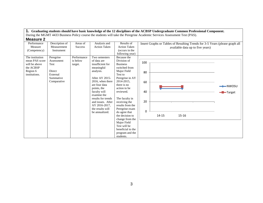| IIIVUJUI V E    |                |                |                     |                     |          |                                                                             |                             |
|-----------------|----------------|----------------|---------------------|---------------------|----------|-----------------------------------------------------------------------------|-----------------------------|
| Performance     | Description of | Areas of       | Analysis and        | Results of          |          | Insert Graphs or Tables of Resulting Trends for 3-5 Years (please graph all |                             |
| Measure         | Measurement    | <b>Success</b> | <b>Action Taken</b> | <b>Action Taken</b> |          | available data up to five years)                                            |                             |
| (Competency)    | Instrument     |                |                     | (occurs in the      |          |                                                                             |                             |
|                 |                |                |                     | following year)     |          |                                                                             |                             |
| The institution | Peregrine      | Performance    | Two semesters       | Because the         |          |                                                                             |                             |
| mean PAS score  | Assessment     | is below       | of data are         | Division of         | 100      |                                                                             |                             |
| will be above   | Test           | target.        | insufficient for    | <b>Business</b>     |          |                                                                             |                             |
| the ACBSP       |                |                | meaningful          | switched from       |          |                                                                             |                             |
| Region 6        | Direct         |                | analysis.           | Major Field         | 80       |                                                                             |                             |
| institutions.   | External       |                |                     | Test to             |          |                                                                             |                             |
|                 | Summative      |                | After AY 2015-      | Peregrine in AY     |          |                                                                             |                             |
|                 | Comparative    |                | 2016, when there    | 2014-2015,          | 60       |                                                                             |                             |
|                 |                |                | are four data       | there is no         |          |                                                                             | $\blacktriangleright$ NWOSU |
|                 |                |                | points, the         | action to be        |          |                                                                             |                             |
|                 |                |                | faculty will        | reviewed.           | 40       |                                                                             | -Target                     |
|                 |                |                | examine the         |                     |          |                                                                             |                             |
|                 |                |                | results for trends  | The faculty in      |          |                                                                             |                             |
|                 |                |                | and issues. After   | receiving the       | 20       |                                                                             |                             |
|                 |                |                | AY 2016-2017,       | results from the    |          |                                                                             |                             |
|                 |                |                | the results will    | Peregrine exam      |          |                                                                             |                             |
|                 |                |                | be annualized.      | do agree that       | $\Omega$ |                                                                             |                             |
|                 |                |                |                     | the decision to     |          | 14-15<br>$15 - 16$                                                          |                             |
|                 |                |                |                     | change from the     |          |                                                                             |                             |
|                 |                |                |                     | Major Field         |          |                                                                             |                             |
|                 |                |                |                     | Test will be        |          |                                                                             |                             |
|                 |                |                |                     | beneficial to the   |          |                                                                             |                             |
|                 |                |                |                     | program and the     |          |                                                                             |                             |
|                 |                |                |                     | students.           |          |                                                                             |                             |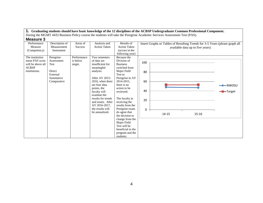| IIIVUJUI V        |                |                |                     |                     |     |       |                                                                             |                     |
|-------------------|----------------|----------------|---------------------|---------------------|-----|-------|-----------------------------------------------------------------------------|---------------------|
| Performance       | Description of | Areas of       | Analysis and        | Results of          |     |       | Insert Graphs or Tables of Resulting Trends for 3-5 Years (please graph all |                     |
| Measure           | Measurement    | <b>Success</b> | <b>Action Taken</b> | <b>Action Taken</b> |     |       | available data up to five years)                                            |                     |
| (Competency)      | Instrument     |                |                     | (occurs in the      |     |       |                                                                             |                     |
|                   |                |                |                     | following year)     |     |       |                                                                             |                     |
| The institution   | Peregrine      | Performance    | Two semesters       | Because the         |     |       |                                                                             |                     |
| mean PAS score    | Assessment     | is below       | of data are         | Division of         | 100 |       |                                                                             |                     |
| will be above all | Test           | target.        | insufficient for    | <b>Business</b>     |     |       |                                                                             |                     |
| <b>ACBSP</b>      |                |                | meaningful          | switched from       |     |       |                                                                             |                     |
| institutions.     | Direct         |                | analysis.           | Major Field         | 80  |       |                                                                             |                     |
|                   | External       |                |                     | Test to             |     |       |                                                                             |                     |
|                   | Summative      |                | After AY 2015-      | Peregrine in AY     |     |       |                                                                             |                     |
|                   | Comparative    |                | 2016, when there    | 2014-2015,          | 60  |       |                                                                             |                     |
|                   |                |                | are four data       | there is no         |     |       |                                                                             | $\rightarrow$ NWOSU |
|                   |                |                | points, the         | action to be        |     |       |                                                                             |                     |
|                   |                |                | faculty will        | reviewed.           | 40  |       |                                                                             | <del>-</del> Target |
|                   |                |                | examine the         |                     |     |       |                                                                             |                     |
|                   |                |                | results for trends  | The faculty in      | 20  |       |                                                                             |                     |
|                   |                |                | and issues. After   | receiving the       |     |       |                                                                             |                     |
|                   |                |                | AY 2016-2017,       | results from the    |     |       |                                                                             |                     |
|                   |                |                | the results will    | Peregrine exam      | 0   |       |                                                                             |                     |
|                   |                |                | be annualized.      | do agree that       |     | 14-15 | 15-16                                                                       |                     |
|                   |                |                |                     | the decision to     |     |       |                                                                             |                     |
|                   |                |                |                     | change from the     |     |       |                                                                             |                     |
|                   |                |                |                     | Major Field         |     |       |                                                                             |                     |
|                   |                |                |                     | Test will be        |     |       |                                                                             |                     |
|                   |                |                |                     | beneficial to the   |     |       |                                                                             |                     |
|                   |                |                |                     | program and the     |     |       |                                                                             |                     |
|                   |                |                |                     | students.           |     |       |                                                                             |                     |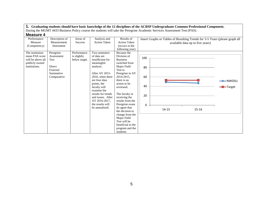| ד טווטטשווו       |                |                |                     |                     |          |                                                                             |                                  |                     |
|-------------------|----------------|----------------|---------------------|---------------------|----------|-----------------------------------------------------------------------------|----------------------------------|---------------------|
| Performance       | Description of | Areas of       | Analysis and        | Results of          |          | Insert Graphs or Tables of Resulting Trends for 3-5 Years (please graph all |                                  |                     |
| Measure           | Measurement    | <b>Success</b> | <b>Action Taken</b> | <b>Action Taken</b> |          |                                                                             | available data up to five years) |                     |
| (Competency)      | Instrument     |                |                     | (occurs in the      |          |                                                                             |                                  |                     |
|                   |                |                |                     | following year)     |          |                                                                             |                                  |                     |
| The institution   | Peregrine      | Performance    | Two semesters       | Because the         |          |                                                                             |                                  |                     |
| mean PAS score    | Assessment     | is slightly    | of data are         | Division of         | 100      |                                                                             |                                  |                     |
| will be above all | Test           | below target.  | insufficient for    | <b>Business</b>     |          |                                                                             |                                  |                     |
| publicly owned    |                |                | meaningful          | switched from       |          |                                                                             |                                  |                     |
| institutions.     | Direct         |                | analysis.           | Major Field         | 80       |                                                                             |                                  |                     |
|                   | External       |                |                     | Test to             |          |                                                                             |                                  |                     |
|                   | Summative      |                | After AY 2015-      | Peregrine in AY     |          |                                                                             |                                  |                     |
|                   | Comparative    |                | 2016, when there    | 2014-2015,          | 60       |                                                                             |                                  |                     |
|                   |                |                | are four data       | there is no         |          |                                                                             |                                  | $\rightarrow$ NWOSU |
|                   |                |                | points, the         | action to be        | 40       |                                                                             |                                  |                     |
|                   |                |                | faculty will        | reviewed.           |          |                                                                             |                                  | -Target             |
|                   |                |                | examine the         |                     |          |                                                                             |                                  |                     |
|                   |                |                | results for trends  | The faculty in      | 20       |                                                                             |                                  |                     |
|                   |                |                | and issues. After   | receiving the       |          |                                                                             |                                  |                     |
|                   |                |                | AY 2016-2017,       | results from the    |          |                                                                             |                                  |                     |
|                   |                |                | the results will    | Peregrine exam      | $\Omega$ |                                                                             |                                  |                     |
|                   |                |                | be annualized.      | do agree that       |          | $14 - 15$                                                                   | $15 - 16$                        |                     |
|                   |                |                |                     | the decision to     |          |                                                                             |                                  |                     |
|                   |                |                |                     | change from the     |          |                                                                             |                                  |                     |
|                   |                |                |                     | Major Field         |          |                                                                             |                                  |                     |
|                   |                |                |                     | Test will be        |          |                                                                             |                                  |                     |
|                   |                |                |                     | beneficial to the   |          |                                                                             |                                  |                     |
|                   |                |                |                     | program and the     |          |                                                                             |                                  |                     |
|                   |                |                |                     | students.           |          |                                                                             |                                  |                     |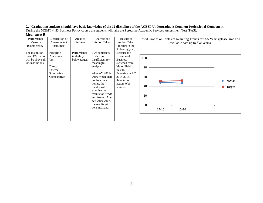| www.c                  |                               |                            |                                     |                                   |                                                                                                                 |                                                                             |
|------------------------|-------------------------------|----------------------------|-------------------------------------|-----------------------------------|-----------------------------------------------------------------------------------------------------------------|-----------------------------------------------------------------------------|
| Performance<br>Measure | Description of<br>Measurement | Areas of<br><b>Success</b> | Analysis and<br><b>Action Taken</b> | Results of<br><b>Action Taken</b> | Insert Graphs or Tables of Resulting Trends for 3-5 Years (please graph all<br>available data up to five years) |                                                                             |
| (Competency)           | Instrument                    |                            |                                     | (occurs in the                    |                                                                                                                 |                                                                             |
|                        |                               |                            |                                     | following year)                   |                                                                                                                 |                                                                             |
| The institution        | Peregrine                     | Performance                | Two semesters                       | Because the                       |                                                                                                                 |                                                                             |
| mean PAS score         | Assessment                    | is slightly                | of data are                         | Division of                       | 100                                                                                                             |                                                                             |
| will be above all      | Test                          | below target.              | insufficient for                    | <b>Business</b>                   |                                                                                                                 |                                                                             |
| US institutions.       |                               |                            | meaningful                          | switched from                     |                                                                                                                 |                                                                             |
|                        | Direct                        |                            | analysis.                           | Major Field                       | 80                                                                                                              |                                                                             |
|                        | External                      |                            | After AY 2015-                      | Test to                           |                                                                                                                 |                                                                             |
|                        | Summative<br>Comparative      |                            | 2016, when there                    | Peregrine in AY<br>2014-2015,     | 60                                                                                                              |                                                                             |
|                        |                               |                            | are four data                       | there is no                       |                                                                                                                 |                                                                             |
|                        |                               |                            | points, the                         | action to be                      | <u> Espainia</u>                                                                                                | $\rightarrow\hspace{-.05cm}\rightarrow\hspace{-.05cm}\longrightarrow$ NWOSU |
|                        |                               |                            | faculty will                        | reviewed.                         | 40                                                                                                              | -Target                                                                     |
|                        |                               |                            | examine the                         |                                   |                                                                                                                 |                                                                             |
|                        |                               |                            | results for trends                  |                                   | 20                                                                                                              |                                                                             |
|                        |                               |                            | and issues. After                   |                                   |                                                                                                                 |                                                                             |
|                        |                               |                            | AY 2016-2017,                       |                                   |                                                                                                                 |                                                                             |
|                        |                               |                            | the results will                    |                                   | $\Omega$                                                                                                        |                                                                             |
|                        |                               |                            | be annualized.                      |                                   | $15 - 16$<br>14-15                                                                                              |                                                                             |
|                        |                               |                            |                                     |                                   |                                                                                                                 |                                                                             |
|                        |                               |                            |                                     |                                   |                                                                                                                 |                                                                             |
|                        |                               |                            |                                     |                                   |                                                                                                                 |                                                                             |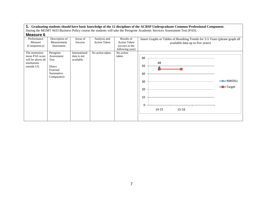| <b>Measure 6</b><br>Performance<br>Measure<br>(Competency)<br>The institution<br>mean PAS score<br>will be above all<br>institutions<br>outside US. | Description of<br>Measurement<br>Instrument<br>Peregrine<br>Assessment<br>Test<br>Direct<br>External<br>Summative<br>Comparative | Areas of<br><b>Success</b><br>International<br>data is not<br>available. | Analysis and<br><b>Action Taken</b><br>No action taken. | Results of<br><b>Action Taken</b><br>(occurs in the<br>following year)<br>No action<br>taken. | Insert Graphs or Tables of Resulting Trends for 3-5 Years (please graph all<br>available data up to five years)<br>60<br>48<br>50<br>40<br>30<br>20<br>10<br>0 | $\rightarrow$ NWOSU<br>-Target |
|-----------------------------------------------------------------------------------------------------------------------------------------------------|----------------------------------------------------------------------------------------------------------------------------------|--------------------------------------------------------------------------|---------------------------------------------------------|-----------------------------------------------------------------------------------------------|----------------------------------------------------------------------------------------------------------------------------------------------------------------|--------------------------------|
|                                                                                                                                                     |                                                                                                                                  |                                                                          |                                                         |                                                                                               | $15 - 16$<br>$14 - 15$                                                                                                                                         |                                |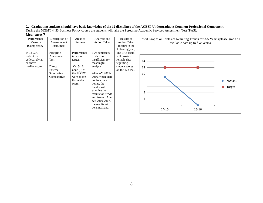| Performance<br>Measure<br>(Competency)                                   | Description of<br>Measurement<br>Instrument                                              | Areas of<br><b>Success</b>                                                                                          | Analysis and<br><b>Action Taken</b>                                                                                                                                                                                                                                                | Results of<br><b>Action Taken</b><br>(occurs in the<br>following year)                         | Insert Graphs or Tables of Resulting Trends for 3-5 Years (please graph all<br>available data up to five years) |                                   |  |  |  |
|--------------------------------------------------------------------------|------------------------------------------------------------------------------------------|---------------------------------------------------------------------------------------------------------------------|------------------------------------------------------------------------------------------------------------------------------------------------------------------------------------------------------------------------------------------------------------------------------------|------------------------------------------------------------------------------------------------|-----------------------------------------------------------------------------------------------------------------|-----------------------------------|--|--|--|
| In $12$ CPC<br>indicators<br>collectively at<br>or above<br>median score | Peregrine<br>Assessment<br>Test<br><b>Direct</b><br>External<br>Summative<br>Comparative | Performance<br>is below<br>target.<br>AY15-16,<br>none $(0)$ of<br>the 12 CPC<br>were above<br>the median<br>score. | Two semesters<br>of data are<br>insufficient for<br>meaningful<br>analysis.<br>After AY 2015-<br>2016, when there<br>are four data<br>points, the<br>faculty will<br>examine the<br>results for trends<br>and issues. After<br>AY 2016-2017,<br>the results will<br>be annualized. | The PAS exam<br>will provide<br>reliable data<br>regarding<br>student scores<br>on the 12 CPC. | 14<br>12<br>10<br>8<br>6<br>4<br>2<br>0<br>14-15<br>$15 - 16$                                                   | $\longleftarrow$ NWOSU<br>-Target |  |  |  |

# **1. Graduating students should have basic knowledge of the 12 disciplines of the ACBSP Undergraduate Common Professional Component.**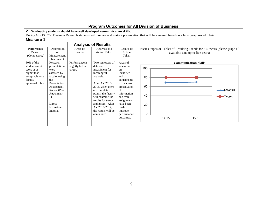| <b>Program Outcomes for All Division of Business</b>                                                         |                                                                                                                                                                                      |                                                                                                                                                                                                                       |                                                                                                                                                                                                                                                                                 |                                                                                                                                                                                                               |                                                                                                                                            |  |  |  |  |  |
|--------------------------------------------------------------------------------------------------------------|--------------------------------------------------------------------------------------------------------------------------------------------------------------------------------------|-----------------------------------------------------------------------------------------------------------------------------------------------------------------------------------------------------------------------|---------------------------------------------------------------------------------------------------------------------------------------------------------------------------------------------------------------------------------------------------------------------------------|---------------------------------------------------------------------------------------------------------------------------------------------------------------------------------------------------------------|--------------------------------------------------------------------------------------------------------------------------------------------|--|--|--|--|--|
| <b>Measure 1</b>                                                                                             |                                                                                                                                                                                      |                                                                                                                                                                                                                       | 2. Graduating students should have well developed communication skills.                                                                                                                                                                                                         |                                                                                                                                                                                                               | During GBUS 3753 Business Research students will prepare and make a presentation that will be assessed based on a faculty-approved rubric. |  |  |  |  |  |
|                                                                                                              |                                                                                                                                                                                      |                                                                                                                                                                                                                       | <b>Analysis of Results</b>                                                                                                                                                                                                                                                      |                                                                                                                                                                                                               |                                                                                                                                            |  |  |  |  |  |
| Performance<br>Measure<br>(Competency)                                                                       | Description<br>of<br>Measurement<br>Instrument                                                                                                                                       | Results of<br>Areas of<br>Analysis and<br>Insert Graphs or Tables of Resulting Trends for 3-5 Years (please graph all<br><b>Action Taken</b><br>Action<br><b>Success</b><br>available data up to five years)<br>Taken |                                                                                                                                                                                                                                                                                 |                                                                                                                                                                                                               |                                                                                                                                            |  |  |  |  |  |
| 80% of the<br>students must<br>score at or<br>higher than<br>acceptable on a<br>faculty-<br>approved rubric. | Research<br>presentations<br>were<br>assessed by<br>faculty using<br>the<br>Presentation<br>Assessment<br>Rubric (Plan<br>Attachment<br>1)<br><b>Direct</b><br>Formative<br>Internal | Performance is<br>slightly below<br>target.                                                                                                                                                                           | Two semesters of<br>data are<br>insufficient for<br>meaningful<br>analysis.<br>After AY 2015-<br>2016, when there<br>are four data<br>points, the faculty<br>will examine the<br>results for trends<br>and issues. After<br>AY 2016-2017,<br>the results will be<br>annualized. | Areas of<br>weakness<br>are<br>identified<br>and<br>adjustments<br>to the class<br>presentation<br>of<br>information<br>and team<br>assignment<br>have been<br>made to<br>improve<br>performance<br>outcomes. | <b>Communication Skills</b><br>100<br>80<br>60<br>$\blacktriangleright$ NWOSU<br>40<br>- <b>D</b> -Target<br>20<br>0<br>14-15<br>15-16     |  |  |  |  |  |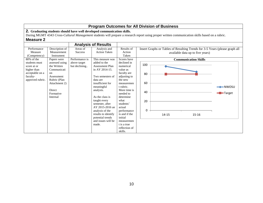|                                                                                                |                                                                                                                                             |                               |                                                                                                                                                                                                                  |                                                                                                                                                                                    | <b>Program Outcomes for All Division of Business</b>                                                                                            |                                           |
|------------------------------------------------------------------------------------------------|---------------------------------------------------------------------------------------------------------------------------------------------|-------------------------------|------------------------------------------------------------------------------------------------------------------------------------------------------------------------------------------------------------------|------------------------------------------------------------------------------------------------------------------------------------------------------------------------------------|-------------------------------------------------------------------------------------------------------------------------------------------------|-------------------------------------------|
| <b>Measure 2</b>                                                                               |                                                                                                                                             |                               | 2. Graduating students should have well developed communication skills.                                                                                                                                          |                                                                                                                                                                                    | During MGMT 4343 Cross-Cultural Management students will prepare a research report using proper written communication skills based on a rubric. |                                           |
|                                                                                                |                                                                                                                                             |                               | <b>Analysis of Results</b>                                                                                                                                                                                       |                                                                                                                                                                                    |                                                                                                                                                 |                                           |
| Performance<br>Measure<br>(Competency)                                                         | Description of<br>Measurement<br>Instrument                                                                                                 | Areas of<br><b>Success</b>    | Analysis and<br><b>Action Taken</b>                                                                                                                                                                              | Results of<br>Action<br>Taken                                                                                                                                                      | Insert Graphs or Tables of Resulting Trends for 3-5 Years (please graph all<br>available data up to five years)                                 |                                           |
| 80% of the                                                                                     | Papers were                                                                                                                                 | Performance is                | This measure was                                                                                                                                                                                                 | Scores have                                                                                                                                                                        | <b>Communication Skills</b>                                                                                                                     |                                           |
| students must<br>score at or<br>higher than<br>acceptable on a<br>faculty-<br>approved rubric. | assessed using<br>the Written<br>Communicati<br>on<br>Assessment<br>Rubric (Plan<br>Attachment 2)<br><b>Direct</b><br>Formative<br>Internal | above target<br>but declining | added to the<br><b>Assessment Plan</b><br>in AY 2014-15.<br>Two semesters of<br>data are<br>insufficient for<br>meaningful<br>analysis.<br>As the class is<br>taught every<br>semester, after<br>AY 2015-2016 an | declined in<br>numerical<br>value as<br>faculty are<br>adjusting to<br>the new<br>measuremen<br>t rubric.<br>More time is<br>needed to<br>determine<br>what<br>students'<br>actual | 100<br>80<br>60<br>40<br>20                                                                                                                     | $\rightarrow$ NWOSU<br>- <b>B</b> -Target |
|                                                                                                |                                                                                                                                             |                               | analysis of the<br>results to identify<br>potential trends<br>and issues will be<br>made.                                                                                                                        | performance<br>is and if the<br>initial<br>measuremen<br>t is a true<br>reflection of<br>skills.                                                                                   | 0<br>$15 - 16$<br>14-15                                                                                                                         |                                           |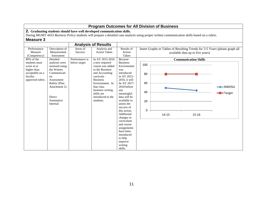|                             | <b>Program Outcomes for All Division of Business</b> |                |                                                                         |                            |                                                                                                                                              |  |  |  |  |  |  |  |
|-----------------------------|------------------------------------------------------|----------------|-------------------------------------------------------------------------|----------------------------|----------------------------------------------------------------------------------------------------------------------------------------------|--|--|--|--|--|--|--|
|                             |                                                      |                | 2. Graduating students should have well developed communication skills. |                            |                                                                                                                                              |  |  |  |  |  |  |  |
|                             |                                                      |                |                                                                         |                            | During MGMT 4433 Business Policy students will prepare a detailed case analysis using proper written communication skills based on a rubric. |  |  |  |  |  |  |  |
| <b>Measure 3</b>            |                                                      |                |                                                                         |                            |                                                                                                                                              |  |  |  |  |  |  |  |
|                             |                                                      |                | <b>Analysis of Results</b>                                              |                            |                                                                                                                                              |  |  |  |  |  |  |  |
| Performance                 | Description of                                       | Areas of       | Analysis and                                                            | Results of                 | Insert Graphs or Tables of Resulting Trends for 3-5 Years (please graph all                                                                  |  |  |  |  |  |  |  |
| Measure                     | Measurement                                          | <b>Success</b> | <b>Action Taken</b>                                                     | Action                     | available data up to five years)                                                                                                             |  |  |  |  |  |  |  |
| (Competency)                | Instrument                                           |                |                                                                         | Taken                      |                                                                                                                                              |  |  |  |  |  |  |  |
| 80% of the<br>students must | Detailed                                             | Performance is | In AY 2015-2016                                                         | Because<br><b>Business</b> | <b>Communication Skills</b>                                                                                                                  |  |  |  |  |  |  |  |
| score at or                 | analyses were<br>assessed using                      | below target.  | a new required<br>course was added                                      | Environment                | 100                                                                                                                                          |  |  |  |  |  |  |  |
| higher than                 | the Written                                          |                | to the Business                                                         | was                        |                                                                                                                                              |  |  |  |  |  |  |  |
| acceptable on a             | Communicati                                          |                | and Accounting                                                          | introduced                 | 80                                                                                                                                           |  |  |  |  |  |  |  |
| faculty-                    | <sub>on</sub>                                        |                | curricula -                                                             | in AY 2015-                |                                                                                                                                              |  |  |  |  |  |  |  |
| approved rubric.            | Assessment                                           |                | <b>Business</b>                                                         | $2016$ , it will           |                                                                                                                                              |  |  |  |  |  |  |  |
|                             | Rubric (Plan                                         |                | Environment. In                                                         | be AY 2017-                | 60                                                                                                                                           |  |  |  |  |  |  |  |
|                             | Attachment 2)                                        |                | that class                                                              | 2018 before                | $-NWOSU$                                                                                                                                     |  |  |  |  |  |  |  |
|                             |                                                      |                | business writing<br>skills are                                          | any<br>meaningful          | 40<br><b>T</b> -Target                                                                                                                       |  |  |  |  |  |  |  |
|                             | <b>Direct</b>                                        |                | introduced to the                                                       | data will be               |                                                                                                                                              |  |  |  |  |  |  |  |
|                             | Summative                                            |                | students.                                                               | available to               | 20                                                                                                                                           |  |  |  |  |  |  |  |
|                             | Internal                                             |                |                                                                         | assess the                 |                                                                                                                                              |  |  |  |  |  |  |  |
|                             |                                                      |                |                                                                         | success of                 |                                                                                                                                              |  |  |  |  |  |  |  |
|                             |                                                      |                |                                                                         | this action.               | 0                                                                                                                                            |  |  |  |  |  |  |  |
|                             |                                                      |                |                                                                         | Additional                 | 14-15<br>$15 - 16$                                                                                                                           |  |  |  |  |  |  |  |
|                             |                                                      |                |                                                                         | changes in<br>curriculum   |                                                                                                                                              |  |  |  |  |  |  |  |
|                             |                                                      |                |                                                                         | and course                 |                                                                                                                                              |  |  |  |  |  |  |  |
|                             |                                                      |                |                                                                         | assignments                |                                                                                                                                              |  |  |  |  |  |  |  |
|                             |                                                      |                |                                                                         | have been                  |                                                                                                                                              |  |  |  |  |  |  |  |
|                             |                                                      |                |                                                                         | introduced                 |                                                                                                                                              |  |  |  |  |  |  |  |
|                             |                                                      |                |                                                                         | to help                    |                                                                                                                                              |  |  |  |  |  |  |  |
|                             |                                                      |                |                                                                         | improve<br>writing         |                                                                                                                                              |  |  |  |  |  |  |  |
|                             |                                                      |                |                                                                         | skills.                    |                                                                                                                                              |  |  |  |  |  |  |  |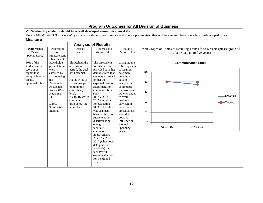|                                               | <b>Program Outcomes for All Division of Business</b>                                                                                                                                                                            |                                                 |                                                                      |                                             |                                                                                                                 |                       |  |  |  |  |  |  |
|-----------------------------------------------|---------------------------------------------------------------------------------------------------------------------------------------------------------------------------------------------------------------------------------|-------------------------------------------------|----------------------------------------------------------------------|---------------------------------------------|-----------------------------------------------------------------------------------------------------------------|-----------------------|--|--|--|--|--|--|
| <b>Measure</b>                                | 2. Graduating students should have well developed communication skills.<br>During MGMT 4433 Business Policy course the students will prepare and make a presentation that will be assessed based on a faculty-developed rubric. |                                                 |                                                                      |                                             |                                                                                                                 |                       |  |  |  |  |  |  |
|                                               |                                                                                                                                                                                                                                 |                                                 | <b>Analysis of Results</b>                                           |                                             |                                                                                                                 |                       |  |  |  |  |  |  |
| Performance<br>Measure<br>(Competency)        | Description<br>of<br>Measurement<br>Instrument                                                                                                                                                                                  | Areas of<br><b>Success</b>                      | Analysis and<br><b>Action Taken</b>                                  | Results of<br><b>Action Taken</b>           | Insert Graphs or Tables of Resulting Trends for 3-5 Years (please graph all<br>available data up to five years) |                       |  |  |  |  |  |  |
| 80% of the<br>students must                   | Stockholder<br>presentations                                                                                                                                                                                                    | Throughout the<br>observation                   | The assessment<br>for this outcome                                   | Changing the<br>rubric appears              | <b>Communication Skills</b>                                                                                     |                       |  |  |  |  |  |  |
| score at or<br>higher than<br>acceptable on a | were<br>assessed by<br>faculty using                                                                                                                                                                                            | period, the goal<br>has been met.               | provided data that<br>demonstrated that<br>students exceeded         | to result in<br>new more<br>beneficial      | 100                                                                                                             |                       |  |  |  |  |  |  |
| faculty-<br>approved rubric.                  | the<br>Presentation<br>Assessment                                                                                                                                                                                               | AY 2014-2015<br>scores dropped<br>to minimum    | or met the<br>expected level of<br>assessment for                    | data to<br>analyze for<br>continuous        | 80                                                                                                              |                       |  |  |  |  |  |  |
|                                               | Rubric (Plan<br>Attachment<br>1)                                                                                                                                                                                                | competency<br>level.<br>$AY15-16$ scores        | communication<br>skills.<br>.In AY 2014-                             | improvement.<br>Other changes<br>to overall | 60                                                                                                              | $-NWOSU$              |  |  |  |  |  |  |
|                                               | Direct<br>Summative                                                                                                                                                                                                             | continued to<br>drop below the<br>target level. | 2015 the rubric<br>for evaluating<br>SLO. The rubric                 | business<br>curriculum<br>with more         | 40                                                                                                              | $\blacksquare$ Target |  |  |  |  |  |  |
|                                               | Internal                                                                                                                                                                                                                        |                                                 | was changed<br>because the prior<br>rubric was not                   | presentations<br>should have a<br>positive  | 20                                                                                                              |                       |  |  |  |  |  |  |
|                                               |                                                                                                                                                                                                                                 |                                                 | discriminating<br>enough to                                          | influence on<br>scores in                   | 0                                                                                                               |                       |  |  |  |  |  |  |
|                                               |                                                                                                                                                                                                                                 |                                                 | facilitate<br>continuous<br>improvement.                             | upcoming<br>years.                          | AY 14-15<br>AY 15-16                                                                                            |                       |  |  |  |  |  |  |
|                                               |                                                                                                                                                                                                                                 |                                                 | After AY 2016-<br>2017 (when four<br>data points are                 |                                             |                                                                                                                 |                       |  |  |  |  |  |  |
|                                               |                                                                                                                                                                                                                                 |                                                 | available) the<br>faculty will<br>examine the data<br>for trends and |                                             |                                                                                                                 |                       |  |  |  |  |  |  |
|                                               |                                                                                                                                                                                                                                 |                                                 | issues.                                                              |                                             |                                                                                                                 |                       |  |  |  |  |  |  |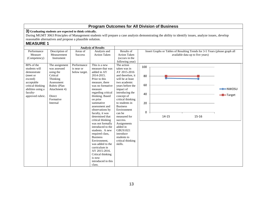**3) Graduating students are expected to think critically.**

During MGMT 3063 Principles of Management students will prepare a case analysis demonstrating the ability to identify issues, analyze issues, develop reasonable alternatives and propose a plausible solution.

#### **MEASURE 1**

|                   |                | <b>Analysis of Results</b> |                     |                     |          |                                                                             |                                  |                         |
|-------------------|----------------|----------------------------|---------------------|---------------------|----------|-----------------------------------------------------------------------------|----------------------------------|-------------------------|
| Performance       | Description of | Areas of                   | Analysis and        | Results of          |          | Insert Graphs or Tables of Resulting Trends for 3-5 Years (please graph all |                                  |                         |
| Measure           | Measurement    | <b>Success</b>             | <b>Action Taken</b> | <b>Action Taken</b> |          |                                                                             | available data up to five years) |                         |
| (Competency)      | Instrument     |                            |                     | (occurs in the      |          |                                                                             |                                  |                         |
|                   |                |                            |                     | following year)     |          |                                                                             |                                  |                         |
| 80% of the        | The assignment | Performance                | This is a new       | The action          | 100      |                                                                             |                                  |                         |
| students will     | was assessed   | is near or                 | measure that was    | taken was in        |          |                                                                             |                                  |                         |
| demonstrate       | using the      | below target.              | added in AY         | AY 2015-2016        |          |                                                                             |                                  |                         |
| (meet or          | Critical       |                            | 2014-2015.          | and therefore, it   | 80       |                                                                             |                                  |                         |
| exceed)           | Thinking       |                            | Prior to this       | will be at least    |          |                                                                             |                                  |                         |
| acceptable        | Assessment     |                            | measure, there      | two academic        |          |                                                                             |                                  |                         |
| critical thinking | Rubric (Plan   |                            | was no formative    | years before the    | 60       |                                                                             |                                  |                         |
| abilities using a | Attachment 4)  |                            | measure             | impact of           |          |                                                                             |                                  | $\longrightarrow$ NWOSU |
| faculty-          |                |                            | regarding critical  | introducing the     | 40       |                                                                             |                                  |                         |
| approved rubric.  | Direct         |                            | thinking. Based     | concept of          |          |                                                                             |                                  | -Target                 |
|                   | Formative      |                            | on prior            | critical thinking   |          |                                                                             |                                  |                         |
|                   | Internal       |                            | summative           | to students in      | 20       |                                                                             |                                  |                         |
|                   |                |                            | assessment and      | <b>Business</b>     |          |                                                                             |                                  |                         |
|                   |                |                            | observations by     | Environment         |          |                                                                             |                                  |                         |
|                   |                |                            | faculty, it was     | can be              | $\Omega$ |                                                                             |                                  |                         |
|                   |                |                            | determined that     | measured for        |          | $14 - 15$                                                                   | $15 - 16$                        |                         |
|                   |                |                            | critical thinking   | success.            |          |                                                                             |                                  |                         |
|                   |                |                            | was not formally    | Assignments         |          |                                                                             |                                  |                         |
|                   |                |                            | introduced to the   | added in            |          |                                                                             |                                  |                         |
|                   |                |                            | students. A new     | <b>GBUS1021</b>     |          |                                                                             |                                  |                         |
|                   |                |                            | required class,     | introduce           |          |                                                                             |                                  |                         |
|                   |                |                            | <b>Business</b>     | students to         |          |                                                                             |                                  |                         |
|                   |                |                            | Environment.        | critical thinking   |          |                                                                             |                                  |                         |
|                   |                |                            | was added to the    | skills.             |          |                                                                             |                                  |                         |
|                   |                |                            | curriculum in       |                     |          |                                                                             |                                  |                         |
|                   |                |                            | AY 2015-2016.       |                     |          |                                                                             |                                  |                         |
|                   |                |                            | Critical thinking   |                     |          |                                                                             |                                  |                         |
|                   |                |                            | is now              |                     |          |                                                                             |                                  |                         |
|                   |                |                            | introduced in this  |                     |          |                                                                             |                                  |                         |
|                   |                |                            | class.              |                     |          |                                                                             |                                  |                         |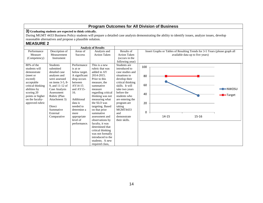**3) Graduating students are expected to think critically.**

During MGMT 4433 Business Policy students will prepare a detailed case analysis demonstrating the ability to identify issues, analyze issues, develop reasonable alternatives and propose a plausible solution.

#### **MEASURE 2**

|                   |                  |                | <b>Analysis of Results</b> |                     |     |                                                                             |                                  |                 |
|-------------------|------------------|----------------|----------------------------|---------------------|-----|-----------------------------------------------------------------------------|----------------------------------|-----------------|
| Performance       | Description of   | Areas of       | Analysis and               | Results of          |     | Insert Graphs or Tables of Resulting Trends for 3-5 Years (please graph all |                                  |                 |
| Measure           | Measurement      | <b>Success</b> | <b>Action Taken</b>        | <b>Action Taken</b> |     |                                                                             | available data up to five years) |                 |
| (Competency)      | Instrument       |                |                            | (occurs in the      |     |                                                                             |                                  |                 |
|                   |                  |                |                            | following year)     |     |                                                                             |                                  |                 |
| 80% of the        | <b>Students</b>  | Performance    | This is a new              | Students are        | 100 |                                                                             |                                  |                 |
| students will     | submitted        | is at or       | rubric that was            | introduced to       |     |                                                                             |                                  |                 |
| demonstrate       | detailed case    | below target.  | added in AY                | case studies and    |     |                                                                             |                                  |                 |
| (meet or          | analyses and     | A significant  | 2014-2015.                 | situations to       | 80  |                                                                             |                                  |                 |
| exceed)           | were assessed    | drop occurs    | Prior to this              | develop their       |     |                                                                             |                                  |                 |
| acceptable        | on items 3-5, 8- | between        | measure, the               | critical thinking   |     |                                                                             |                                  |                 |
| critical thinking | 9. and 11-12 of  | AY14-15        | summative                  | skills. It will     | 60  |                                                                             |                                  |                 |
| abilities by      | Case Analysis    | and AY15-      | measure                    | take two years      |     |                                                                             |                                  | <b>-NWOSU</b>   |
| scoring 20        | Assessment       | 16.            | regarding critical         | before the          | 40  |                                                                             |                                  |                 |
| points or higher  | Rubric (Plan     |                | thinking was not           | students who        |     |                                                                             |                                  | <b>-</b> Target |
| on the faculty-   | Attachment 3)    | Additional     | measuring what             | are entering the    |     |                                                                             |                                  |                 |
| approved rubric   |                  | data is        | the SLO was                | program are         | 20  |                                                                             |                                  |                 |
|                   | Direct           | needed to      | targeting. Based           | taking              |     |                                                                             |                                  |                 |
|                   | Summative        | determine a    | on that prior              | <b>MGMT4433</b>     |     |                                                                             |                                  |                 |
|                   | External         | more           | summative                  | and                 | 0   |                                                                             |                                  |                 |
|                   | Comparative      | appropriate    | assessment and             | demonstrate         |     | 14-15                                                                       | 15-16                            |                 |
|                   |                  | level of       | observations by            | their skills.       |     |                                                                             |                                  |                 |
|                   |                  | performance.   | faculty, it was            |                     |     |                                                                             |                                  |                 |
|                   |                  |                | determined that            |                     |     |                                                                             |                                  |                 |
|                   |                  |                | critical thinking          |                     |     |                                                                             |                                  |                 |
|                   |                  |                | was not formally           |                     |     |                                                                             |                                  |                 |
|                   |                  |                | introduced to the          |                     |     |                                                                             |                                  |                 |
|                   |                  |                | students. A new            |                     |     |                                                                             |                                  |                 |
|                   |                  |                | required class,            |                     |     |                                                                             |                                  |                 |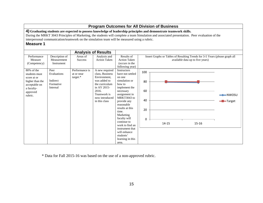|                                                                                                                        |                                                          |                                          |                                                                                                                                                               |                                                                                                                                                                                                                                                                                                                                                |                                  | <b>Program Outcomes for All Division of Business</b>                                                                                                                                                                                                                 |                                  |                                           |
|------------------------------------------------------------------------------------------------------------------------|----------------------------------------------------------|------------------------------------------|---------------------------------------------------------------------------------------------------------------------------------------------------------------|------------------------------------------------------------------------------------------------------------------------------------------------------------------------------------------------------------------------------------------------------------------------------------------------------------------------------------------------|----------------------------------|----------------------------------------------------------------------------------------------------------------------------------------------------------------------------------------------------------------------------------------------------------------------|----------------------------------|-------------------------------------------|
| interpersonal communication/teamwork on the simulation team will be measured using a rubric.<br><b>Measure 1</b>       |                                                          |                                          |                                                                                                                                                               |                                                                                                                                                                                                                                                                                                                                                |                                  | 4) Graduating students are expected to possess knowledge of leadership principles and demonstrate teamwork skills.<br>During the MRKT 3043 Principles of Marketing, the students will complete a team Simulation and associated presentation. Peer evaluation of the |                                  |                                           |
|                                                                                                                        |                                                          |                                          | <b>Analysis of Results</b>                                                                                                                                    |                                                                                                                                                                                                                                                                                                                                                |                                  |                                                                                                                                                                                                                                                                      |                                  |                                           |
| Performance<br>Measure<br>(Competency)                                                                                 | Description of<br>Measurement<br>Instrument              | Areas of<br><b>Success</b>               | Analysis and<br><b>Action Taken</b>                                                                                                                           | Results of<br><b>Action Taken</b><br>(occurs in the<br>following year)                                                                                                                                                                                                                                                                         |                                  | Insert Graphs or Tables of Resulting Trends for 3-5 Years (please graph all                                                                                                                                                                                          | available data up to five years) |                                           |
| $80\%$ of the<br>students must<br>score at or<br>higher than the<br>acceptable on<br>a faculty-<br>approved<br>rubric. | Peer<br>Evaluations<br>Indirect<br>Formative<br>Internal | Performance is<br>at or near<br>target.* | A new required<br>class, Business<br>Environment,<br>was added to<br>the curriculum<br>in AY 2015-<br>2016.<br>Teamwork is<br>now introduced<br>in this class | <b>Instructors</b><br>have not settled<br>on one<br>simulation or<br>how to<br>implement the<br>necessary<br>assignment in<br>MRKT3043 to<br>provide any<br>reasonable<br>results at this<br>time.<br>Marketing<br>faculty will<br>continue to<br>work to find an<br>instrument that<br>will enhance<br>students'<br>learning in this<br>area. | 100<br>80<br>60<br>40<br>20<br>0 | $14 - 15$                                                                                                                                                                                                                                                            | $15 - 16$                        | $\rightarrow$ NWOSU<br>- <b>B</b> -Target |

\* Data for Fall 2015-16 was based on the use of a non-approved rubric.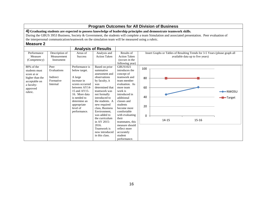|                  | <b>Program Outcomes for All Division of Business</b>                                             |                         |                              |                         |     |                                                                                                                    |                                                                                                                                                   |                              |  |  |  |
|------------------|--------------------------------------------------------------------------------------------------|-------------------------|------------------------------|-------------------------|-----|--------------------------------------------------------------------------------------------------------------------|---------------------------------------------------------------------------------------------------------------------------------------------------|------------------------------|--|--|--|
|                  |                                                                                                  |                         |                              |                         |     | 4) Graduating students are expected to possess knowledge of leadership principles and demonstrate teamwork skills. |                                                                                                                                                   |                              |  |  |  |
|                  |                                                                                                  |                         |                              |                         |     |                                                                                                                    | During the GBUS 3953 Business, Society & Government, the students will complete a team Simulation and associated presentation. Peer evaluation of |                              |  |  |  |
|                  | the interpersonal communication/teamwork on the simulation team will be measured using a rubric. |                         |                              |                         |     |                                                                                                                    |                                                                                                                                                   |                              |  |  |  |
| <b>Measure 2</b> |                                                                                                  |                         |                              |                         |     |                                                                                                                    |                                                                                                                                                   |                              |  |  |  |
|                  |                                                                                                  |                         | <b>Analysis of Results</b>   |                         |     |                                                                                                                    |                                                                                                                                                   |                              |  |  |  |
| Performance      | Description of                                                                                   | Areas of                | Analysis and                 | Results of              |     |                                                                                                                    | Insert Graphs or Tables of Resulting Trends for 3-5 Years (please graph all                                                                       |                              |  |  |  |
| Measure          | Measurement                                                                                      | <b>Success</b>          | <b>Action Taken</b>          | <b>Action Taken</b>     |     |                                                                                                                    | available data up to five years)                                                                                                                  |                              |  |  |  |
| (Competency)     | Instrument                                                                                       |                         |                              | (occurs in the          |     |                                                                                                                    |                                                                                                                                                   |                              |  |  |  |
|                  |                                                                                                  |                         |                              | following year)         |     |                                                                                                                    |                                                                                                                                                   |                              |  |  |  |
| $80\%$ of the    | Peer                                                                                             | Performance is          | Based on prior               | GBUS1021                | 100 |                                                                                                                    |                                                                                                                                                   |                              |  |  |  |
| students must    | Evaluations                                                                                      | below target.           | summative                    | introduces the          |     |                                                                                                                    |                                                                                                                                                   |                              |  |  |  |
| score at or      |                                                                                                  |                         | assessment and               | concept of              |     |                                                                                                                    |                                                                                                                                                   |                              |  |  |  |
| higher than the  | Indirect                                                                                         | A large                 | observations                 | teamwork and            | 80  |                                                                                                                    |                                                                                                                                                   |                              |  |  |  |
| acceptable on    | Formative                                                                                        | increase in             | by faculty, it               | team member             |     |                                                                                                                    |                                                                                                                                                   |                              |  |  |  |
| a faculty-       | Internal                                                                                         | scores occurred         | was                          | evaluation. As          |     |                                                                                                                    |                                                                                                                                                   |                              |  |  |  |
| approved         |                                                                                                  | between AY14-           | determined that              | more team               | 60  |                                                                                                                    |                                                                                                                                                   |                              |  |  |  |
| rubric.          |                                                                                                  | 15 and AY15-            | teamwork was                 | work is                 |     |                                                                                                                    |                                                                                                                                                   | $-$ NWOSU                    |  |  |  |
|                  |                                                                                                  | 16. More data           | not formally                 | introduced in           | 40  |                                                                                                                    |                                                                                                                                                   |                              |  |  |  |
|                  |                                                                                                  | is needed to            | introduced to                | additional              |     |                                                                                                                    |                                                                                                                                                   | $\blacktriangleright$ Target |  |  |  |
|                  |                                                                                                  | determine an            | the students. A              | classes and             |     |                                                                                                                    |                                                                                                                                                   |                              |  |  |  |
|                  |                                                                                                  | appropriate<br>level of | new required                 | students<br>become more | 20  |                                                                                                                    |                                                                                                                                                   |                              |  |  |  |
|                  |                                                                                                  |                         | class, Business              | comfortable             |     |                                                                                                                    |                                                                                                                                                   |                              |  |  |  |
|                  |                                                                                                  | performance.            | Environment.<br>was added to | with evaluating         |     |                                                                                                                    |                                                                                                                                                   |                              |  |  |  |
|                  |                                                                                                  |                         | the curriculum               | their                   | 0   |                                                                                                                    |                                                                                                                                                   |                              |  |  |  |
|                  |                                                                                                  |                         | in AY 2015-                  | teammates, this         |     | 14-15                                                                                                              | $15 - 16$                                                                                                                                         |                              |  |  |  |
|                  |                                                                                                  |                         | 2016.                        | measure should          |     |                                                                                                                    |                                                                                                                                                   |                              |  |  |  |
|                  |                                                                                                  |                         | Teamwork is                  | reflect more            |     |                                                                                                                    |                                                                                                                                                   |                              |  |  |  |
|                  |                                                                                                  |                         | now introduced               | accurately              |     |                                                                                                                    |                                                                                                                                                   |                              |  |  |  |
|                  |                                                                                                  |                         | in this class.               | student                 |     |                                                                                                                    |                                                                                                                                                   |                              |  |  |  |
|                  |                                                                                                  |                         |                              | performance.            |     |                                                                                                                    |                                                                                                                                                   |                              |  |  |  |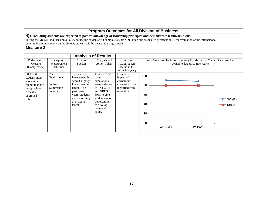#### **4) Graduating students are expected to possess knowledge of leadership principles and demonstrate teamwork skills.**

During the MGMT 4433 Business Policy course the students will complete a team Simulation and associated presentation. Peer evaluation of the interpersonal communication/teamwork on the simulation team will be measured using a rubric.

|                 |                |                 | <b>Analysis of Results</b> |                     |                                                                             |  |
|-----------------|----------------|-----------------|----------------------------|---------------------|-----------------------------------------------------------------------------|--|
| Performance     | Description of | Areas of        | Analysis and               | Results of          | Insert Graphs or Tables of Resulting Trends for 3-5 Years (please graph all |  |
| Measure         | Measurement    | <b>Success</b>  | <b>Action Taken</b>        | <b>Action Taken</b> | available data up to five years)                                            |  |
| (Competency)    | Instrument     |                 |                            | (occurs in the      |                                                                             |  |
|                 |                |                 |                            | following year)     |                                                                             |  |
| 80% of the      | Peer           | The students    | In AY 2012-13              | Long-term           | 100                                                                         |  |
| students must   | Evaluations    | have generally  | team                       | impact of           |                                                                             |  |
| score at or     |                | scored slightly | simulations                | curriculum          |                                                                             |  |
| higher than the | Indirect       | lower than the  | were added to              | changes will be     | 80                                                                          |  |
| acceptable on   | Summative      | target. The     | <b>MRKT 3043</b>           | identified with     |                                                                             |  |
| a faculty-      | Internal       | past three      | and GBUS                   | more time.          |                                                                             |  |
| approved        |                | years, students | $3953$ to give             |                     | 60                                                                          |  |
| rubric.         |                | are performing  | students more              |                     | $\rightarrow$ NWOSU                                                         |  |
|                 |                | at or above     | opportunities              |                     | 40                                                                          |  |
|                 |                | target.         | to develop                 |                     | -Target                                                                     |  |
|                 |                |                 | teamwork                   |                     |                                                                             |  |
|                 |                |                 | skills.                    |                     | 20                                                                          |  |
|                 |                |                 |                            |                     |                                                                             |  |
|                 |                |                 |                            |                     |                                                                             |  |
|                 |                |                 |                            |                     | $\Omega$                                                                    |  |
|                 |                |                 |                            |                     | AY 14-15<br>AY 15-16                                                        |  |
|                 |                |                 |                            |                     |                                                                             |  |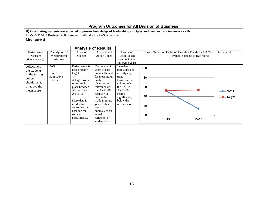**4) Graduating students are expected to possess knowledge of leadership principles and demonstrate teamwork skills.**

In MGMT 4433 Business Policy students will take the PAS assessment.

|                                                                                                        |                                               |                                                                                                                                                                                                                     | <b>Analysis of Results</b>                                                                                                                                                                                                                                                 |                                                                                                                                                                          |                                            |                                                                             |                                  |                                        |
|--------------------------------------------------------------------------------------------------------|-----------------------------------------------|---------------------------------------------------------------------------------------------------------------------------------------------------------------------------------------------------------------------|----------------------------------------------------------------------------------------------------------------------------------------------------------------------------------------------------------------------------------------------------------------------------|--------------------------------------------------------------------------------------------------------------------------------------------------------------------------|--------------------------------------------|-----------------------------------------------------------------------------|----------------------------------|----------------------------------------|
| Performance<br>Measure<br>(Competency)                                                                 | Description of<br>Measurement<br>Instrument   | Areas of<br><b>Success</b>                                                                                                                                                                                          | Analysis and<br><b>Action Taken</b>                                                                                                                                                                                                                                        | Results of<br><b>Action Taken</b><br>(occurs in the<br>following year)                                                                                                   |                                            | Insert Graphs or Tables of Resulting Trends for 3-5 Years (please graph all | available data up to five years) |                                        |
| collectively<br>the students<br>in the testing<br>cohort<br>should be at<br>or above the<br>mean score | <b>PAS</b><br>Direct<br>Summative<br>External | Performance is<br>near or below<br>target.<br>A large drop in<br>scores took<br>place between<br>$AY14-15$ and<br>AY15-16.<br>More data is<br>needed to<br>determine the<br>baseline for<br>student<br>performance. | Two academic<br>years of data<br>are insufficient<br>for meaningful<br>analysis.<br>Question of<br>relevancy of<br>the $AY15-16$<br>results will<br>need to be<br>made in future<br>years if this<br>was an<br>anomaly or an<br>actual<br>reflection of<br>student skills. | Two data<br>points does not<br>identify any<br>trend.<br>However, the<br>cohort taking<br>the PAS in<br>AY15-16<br>scored<br>significantly<br>below the<br>median score. | 100<br>80<br>60<br>40<br>20<br>$\mathbf 0$ | 14-15                                                                       | 15-16                            | $\rightarrow$ NWOSU<br><b>-</b> Target |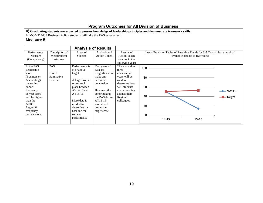**4) Graduating students are expected to possess knowledge of leadership principles and demonstrate teamwork skills.**

In MGMT 4433 Business Policy students will take the PAS assessment.

|                |                |                 | <b>Analysis of Results</b> |                     |                                                                             |
|----------------|----------------|-----------------|----------------------------|---------------------|-----------------------------------------------------------------------------|
| Performance    | Description of | Areas of        | Analysis and               | Results of          | Insert Graphs or Tables of Resulting Trends for 3-5 Years (please graph all |
| Measure        | Measurement    | <b>Success</b>  | <b>Action Taken</b>        | <b>Action Taken</b> | available data up to five years)                                            |
| (Competency)   | Instrument     |                 |                            | (occurs in the      |                                                                             |
|                |                |                 |                            | following year)     |                                                                             |
| In the PAS     | <b>PAS</b>     | Performance is  | Two years of               | The score after     | 100                                                                         |
| Leadership     |                | at or above     | data are                   | three               |                                                                             |
| score          | Direct         | target.         | insignificant to           | consecutive         |                                                                             |
| (Business or   | Summative      |                 | make any                   | years will be       | 80                                                                          |
| Accounting)    | External       | A large drop in | definitive                 | used to             |                                                                             |
| the testing    |                | scores took     | conclusion.                | determine how       |                                                                             |
| cohort         |                | place between   |                            | well students       | 60                                                                          |
| frequency      |                | $AY14-15$ and   | However, the               | are performing      | ━━NWOSU                                                                     |
| correct score  |                | AY15-16.        | cohort taking              | against their       |                                                                             |
| will be higher |                |                 | the PAS during             | Region 6            | 40<br><del>-</del> Target                                                   |
| than the       |                | More data is    | $AY15-16$                  | colleagues.         |                                                                             |
| <b>ACBSP</b>   |                | needed to       | scored well                |                     | 20                                                                          |
| Region 6       |                | determine the   | below the                  |                     |                                                                             |
| frequency      |                | baseline for    | target score.              |                     |                                                                             |
| correct score. |                | student         |                            |                     | 0                                                                           |
|                |                | performance     |                            |                     | 14-15<br>$15 - 16$                                                          |
|                |                |                 |                            |                     |                                                                             |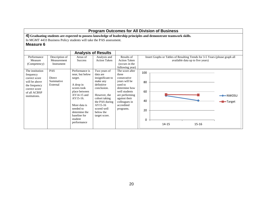|                                                                                                                                   |                                               |                                                                                                                                                                                                                   |                                                                                                                                                                                                    | <b>Program Outcomes for All Division of Business</b>                                                                                                                                 |                                  |           |                                                                                                                 |                     |
|-----------------------------------------------------------------------------------------------------------------------------------|-----------------------------------------------|-------------------------------------------------------------------------------------------------------------------------------------------------------------------------------------------------------------------|----------------------------------------------------------------------------------------------------------------------------------------------------------------------------------------------------|--------------------------------------------------------------------------------------------------------------------------------------------------------------------------------------|----------------------------------|-----------|-----------------------------------------------------------------------------------------------------------------|---------------------|
| <b>Measure 6</b>                                                                                                                  |                                               | In MGMT 4433 Business Policy students will take the PAS assessment.                                                                                                                                               |                                                                                                                                                                                                    | 4) Graduating students are expected to possess knowledge of leadership principles and demonstrate teamwork skills.                                                                   |                                  |           |                                                                                                                 |                     |
|                                                                                                                                   |                                               |                                                                                                                                                                                                                   | <b>Analysis of Results</b>                                                                                                                                                                         |                                                                                                                                                                                      |                                  |           |                                                                                                                 |                     |
| Performance<br>Measure<br>(Competency)                                                                                            | Description of<br>Measurement<br>Instrument   | Areas of<br><b>Success</b>                                                                                                                                                                                        | Analysis and<br><b>Action Taken</b>                                                                                                                                                                | Results of<br><b>Action Taken</b><br>(occurs in the<br>following year)                                                                                                               |                                  |           | Insert Graphs or Tables of Resulting Trends for 3-5 Years (please graph all<br>available data up to five years) |                     |
| The institution<br>frequency<br>correct score<br>will be above<br>the frequency<br>correct score<br>of all ACBSP<br>institutions. | <b>PAS</b><br>Direct<br>Summative<br>External | Performance is<br>near, but below<br>target.<br>A drop in<br>scores took<br>place between<br>$AY14-15$ and<br>$AY15-16$ .<br>More data is<br>needed to<br>determine the<br>baseline for<br>student<br>performance | Two years of<br>data are<br>insignificant to<br>make any<br>definitive<br>conclusion.<br>However, the<br>cohort taking<br>the PAS during<br>$AY15-16$<br>scored well<br>below the<br>target score. | The score after<br>three<br>consecutive<br>years will be<br>used to<br>determine how<br>well students<br>are performing<br>against their<br>colleagues in<br>accredited<br>programs. | 100<br>80<br>60<br>40<br>20<br>0 | $14 - 15$ | $15 - 16$                                                                                                       | —— NWOSU<br>-Target |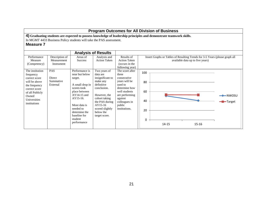|                                                                                                                                                              | <b>Program Outcomes for All Division of Business</b> |                                                                                                                                                                                                                     |                                                                                                                                                                                                        |                                                                                                                                                                                |                                  |           |  |                                                                                                                 |                                |  |  |
|--------------------------------------------------------------------------------------------------------------------------------------------------------------|------------------------------------------------------|---------------------------------------------------------------------------------------------------------------------------------------------------------------------------------------------------------------------|--------------------------------------------------------------------------------------------------------------------------------------------------------------------------------------------------------|--------------------------------------------------------------------------------------------------------------------------------------------------------------------------------|----------------------------------|-----------|--|-----------------------------------------------------------------------------------------------------------------|--------------------------------|--|--|
| <b>Measure 7</b>                                                                                                                                             |                                                      | 4) Graduating students are expected to possess knowledge of leadership principles and demonstrate teamwork skills.<br>In MGMT 4433 Business Policy students will take the PAS assessment.                           |                                                                                                                                                                                                        |                                                                                                                                                                                |                                  |           |  |                                                                                                                 |                                |  |  |
|                                                                                                                                                              |                                                      |                                                                                                                                                                                                                     | <b>Analysis of Results</b>                                                                                                                                                                             |                                                                                                                                                                                |                                  |           |  |                                                                                                                 |                                |  |  |
| Performance<br>Measure<br>(Competency)                                                                                                                       | Description of<br>Measurement<br>Instrument          | Areas of<br><b>Success</b>                                                                                                                                                                                          | Analysis and<br><b>Action Taken</b>                                                                                                                                                                    | Results of<br><b>Action Taken</b><br>(occurs in the<br>following year)                                                                                                         |                                  |           |  | Insert Graphs or Tables of Resulting Trends for 3-5 Years (please graph all<br>available data up to five years) |                                |  |  |
| The institution<br>frequency<br>correct score<br>will be above<br>the frequency<br>correct score<br>of all Publicly<br>Owned<br>Universities<br>institutions | PAS<br>Direct<br>Summative<br>External               | Performance is<br>near but below<br>target.<br>A small drop in<br>scores took<br>place between<br>$AY14-15$ and<br>AY15-16.<br>More data is<br>needed to<br>determine the<br>baseline for<br>student<br>performance | Two years of<br>data are<br>insignificant to<br>make any<br>definitive<br>conclusion.<br>However, the<br>cohort taking<br>the PAS during<br>$AY15-16$<br>scored slightly<br>below the<br>target score. | The score after<br>three<br>consecutive<br>years will be<br>used to<br>determine how<br>well students<br>are performing<br>against<br>colleagues in<br>public<br>institutions. | 100<br>80<br>60<br>40<br>20<br>0 | $14 - 15$ |  | $15 - 16$                                                                                                       | $\rightarrow$ NWOSU<br>-Target |  |  |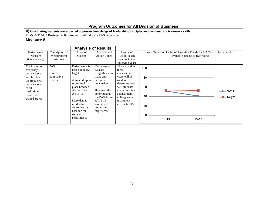**4) Graduating students are expected to possess knowledge of leadership principles and demonstrate teamwork skills.**

In MGMT 4433 Business Policy students will take the PAS assessment.

|                                                                                                                                                                  |                                               |                                                                                                                                                                                                                     | <b>Analysis of Results</b>                                                                                                                                                                         |                                                                                                                                                                                             |                                                                                                                 |
|------------------------------------------------------------------------------------------------------------------------------------------------------------------|-----------------------------------------------|---------------------------------------------------------------------------------------------------------------------------------------------------------------------------------------------------------------------|----------------------------------------------------------------------------------------------------------------------------------------------------------------------------------------------------|---------------------------------------------------------------------------------------------------------------------------------------------------------------------------------------------|-----------------------------------------------------------------------------------------------------------------|
| Performance<br>Measure<br>(Competency)                                                                                                                           | Description of<br>Measurement<br>Instrument   | Areas of<br><b>Success</b>                                                                                                                                                                                          | Analysis and<br><b>Action Taken</b>                                                                                                                                                                | Results of<br><b>Action Taken</b><br>(occurs in the<br>following year)                                                                                                                      | Insert Graphs or Tables of Resulting Trends for 3-5 Years (please graph all<br>available data up to five years) |
| The institution<br>frequency<br>correct score<br>will be above<br>the frequency<br>correct score<br>of all<br>institutions<br>inside the<br><b>United States</b> | <b>PAS</b><br>Direct<br>Summative<br>External | Performance is<br>near but below<br>target.<br>A small drop in<br>scores took<br>place between<br>$AY14-15$ and<br>AY15-16.<br>More data is<br>needed to<br>determine the<br>baseline for<br>student<br>performance | Two years of<br>data are<br>insignificant to<br>make any<br>definitive<br>conclusion.<br>However, the<br>cohort taking<br>the PAS during<br>$AY15-16$<br>scored well<br>below the<br>target score. | The score after<br>three<br>consecutive<br>years will be<br>used to<br>determine how<br>well students<br>are performing<br>against their<br>colleagues in<br>institutions<br>across the US. | 100<br>80<br>60<br>━━━NWOSU<br>40<br>-Target<br>20<br>$\Omega$<br>14-15<br>15-16                                |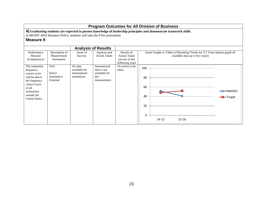**4) Graduating students are expected to possess knowledge of leadership principles and demonstrate teamwork skills.**

In MGMT 4433 Business Policy students will take the PAS assessment.

|                                                                                                                                                                    |                                             |                                                            | <b>Analysis of Results</b>                                            |                                                                        |                                                                                                                 |
|--------------------------------------------------------------------------------------------------------------------------------------------------------------------|---------------------------------------------|------------------------------------------------------------|-----------------------------------------------------------------------|------------------------------------------------------------------------|-----------------------------------------------------------------------------------------------------------------|
| Performance<br>Measure<br>(Competency)                                                                                                                             | Description of<br>Measurement<br>Instrument | Areas of<br><b>Success</b>                                 | Analysis and<br><b>Action Taken</b>                                   | Results of<br><b>Action Taken</b><br>(occurs in the<br>following year) | Insert Graphs or Tables of Resulting Trends for 3-5 Years (please graph all<br>available data up to five years) |
| The institution<br>frequency<br>correct score<br>will be above<br>the frequency<br>correct score<br>of all<br>institutions<br>outside the<br><b>United States.</b> | PAS<br>Direct<br>Summative<br>External      | No data<br>available for<br>international<br>institutions. | International<br>data is not<br>available for<br>this<br>measurement. | No action to be<br>taken.                                              | 100<br>80<br>60<br>$\longrightarrow$ NWOSU<br>40<br>-Target<br>20<br>$\mathbf 0$<br>15-16<br>$14 - 15$          |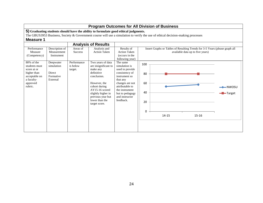|                                                                                                   |                                                          |                                           |                                                                                                                                                                                                  |                                                                                                                                                                                           |                                  | <b>Program Outcomes for All Division of Business</b>                                                                               |                                  |                                          |
|---------------------------------------------------------------------------------------------------|----------------------------------------------------------|-------------------------------------------|--------------------------------------------------------------------------------------------------------------------------------------------------------------------------------------------------|-------------------------------------------------------------------------------------------------------------------------------------------------------------------------------------------|----------------------------------|------------------------------------------------------------------------------------------------------------------------------------|----------------------------------|------------------------------------------|
|                                                                                                   |                                                          |                                           | 5) Graduating students should have the ability to formulate good ethical judgments.                                                                                                              |                                                                                                                                                                                           |                                  | The GBUS3953 Business, Society $\&$ Government course will use a simulation to verify the use of ethical decision-making processes |                                  |                                          |
| <b>Measure 1</b>                                                                                  |                                                          |                                           |                                                                                                                                                                                                  |                                                                                                                                                                                           |                                  |                                                                                                                                    |                                  |                                          |
|                                                                                                   |                                                          |                                           | <b>Analysis of Results</b>                                                                                                                                                                       |                                                                                                                                                                                           |                                  |                                                                                                                                    |                                  |                                          |
| Performance<br>Measure<br>(Competency)<br>80% of the                                              | Description of<br>Measurement<br>Instrument<br>Deepwater | Areas of<br><b>Success</b><br>Performance | Analysis and<br><b>Action Taken</b><br>Two years of data                                                                                                                                         | Results of<br><b>Action Taken</b><br>(occurs in the<br>following year)<br>The same                                                                                                        |                                  | Insert Graphs or Tables of Resulting Trends for 3-5 Years (please graph all                                                        | available data up to five years) |                                          |
| students must<br>score at or<br>higher than<br>acceptable on<br>a faculty-<br>approved<br>rubric. | simulation<br>Direct<br>Formative<br>External            | is below<br>target.                       | are insignificant to<br>make any<br>definitive<br>conclusion.<br>However, the<br>cohort during<br>$AY15-16$ scored<br>slightly higher in<br>previous year but<br>lower than the<br>target score. | simulation is<br>used to provide<br>consistency of<br>instrument so<br>that any<br>changes are not<br>attributable to<br>the instrument<br>but to pedagogy<br>and instructor<br>feedback. | 100<br>80<br>60<br>40<br>20<br>0 | 14-15                                                                                                                              | $15 - 16$                        | $\rightarrow$ NWOSU<br><b>-B</b> -Target |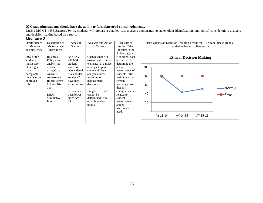During MGMT 4433 *Business Policy* students will prepare a detailed case analysis demonstrating stakeholder identification, and ethical consideration, analysis and decision-making based on a rubric

| Performance   | Description of  | Areas of       | Analysis and Action | Results of          | Insert Graphs or Tables of Resulting Trends for 3-5 Years (please graph all |
|---------------|-----------------|----------------|---------------------|---------------------|-----------------------------------------------------------------------------|
| Measure       | Measurement     | <b>Success</b> | Taken               | <b>Action Taken</b> | available data up to five years)                                            |
| (Competency)  | Instrument      |                |                     | (occurs in the      |                                                                             |
|               |                 |                |                     | following year)     |                                                                             |
| 80% of the    | <b>Business</b> | As of AY       | Changes made in     | Additional data     | <b>Ethical Decision Making</b>                                              |
| students      | Policy case     | $2013 - 14$ ,  | assignment required | are needed to       |                                                                             |
| must score    | analysis as     | student        | elements have made  | determine the       |                                                                             |
| at or higher  | assessed        | scores re:     | an impact upon      | actual              | 100                                                                         |
| than          | using Case      | "Considered    | student ability to  | performance of      |                                                                             |
| acceptable    | Analysis        | Stakeholder    | analyze ethical     | students. The       | 80                                                                          |
| on a faculty- | Assessment      | Analysis"      | impact upon         | assignment has      |                                                                             |
| approved      | Rubric (items   | have met       | management          | remain              |                                                                             |
| rubric.       | $6-7$ and 10-   | expectations.  | decisions.          | unchanged so        | 60                                                                          |
|               | 11)             |                |                     | that any            | $\rightarrow$ NWOSU                                                         |
|               |                 | Scores have    | Long-term trend     | changes can be      |                                                                             |
|               | Direct          | been lower     | cannot be           | related to          | 40<br>-Target                                                               |
|               | Summative       | since $AY13-$  | determined with     | student             |                                                                             |
|               | Internal        | 14.            | only three data     | performance         | 20                                                                          |
|               |                 |                | points.             | and not             |                                                                             |
|               |                 |                |                     | instrument          |                                                                             |
|               |                 |                |                     | used.               | 0                                                                           |
|               |                 |                |                     |                     | AY 13-14<br>AY 14-15<br>AY 15-16                                            |
|               |                 |                |                     |                     |                                                                             |
|               |                 |                |                     |                     |                                                                             |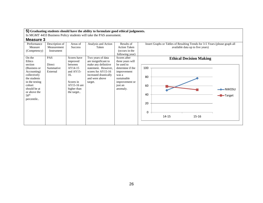In MGMT 4433 Business Policy students will take the PAS assessment.

| Performance      | Description of | Areas of       | Analysis and Action   | Results of          | Insert Graphs or Tables of Resulting Trends for 3-5 Years (please graph all |
|------------------|----------------|----------------|-----------------------|---------------------|-----------------------------------------------------------------------------|
| Measure          | Measurement    | <b>Success</b> | Taken                 | <b>Action Taken</b> | available data up to five years)                                            |
| (Competency)     | Instrument     |                |                       | (occurs in the      |                                                                             |
|                  |                |                |                       | following year)     |                                                                             |
| On the           | <b>PAS</b>     | Scores have    | Two years of data     | Scores after        | <b>Ethical Decision Making</b>                                              |
| Ethics           |                | improved       | are insignificant to  | three years will    |                                                                             |
| section          | Direct         | between        | make any definitive   | be used to          |                                                                             |
| (Business or     | Summative      | AY14-15        | statement. However,   | determine if the    | 100                                                                         |
| Accounting)      | External       | and $AY15$ -   | scores for AY15-16    | improvement         |                                                                             |
| collectively     |                | 16.            | increased drastically | was a               | 80                                                                          |
| the students     |                |                | and were above        | sustainable         |                                                                             |
| in the testing   |                | Scores in      | target.               | improvement or      |                                                                             |
| cohort           |                | $AY15-16$ are  |                       | just an             | 60                                                                          |
| should be at     |                | higher than    |                       | anomaly.            | $\rightarrow$ NWOSU                                                         |
| or above the     |                | the target     |                       |                     |                                                                             |
| 50 <sup>th</sup> |                |                |                       |                     | 40<br>-Target                                                               |
| percentile       |                |                |                       |                     |                                                                             |
|                  |                |                |                       |                     | 20                                                                          |
|                  |                |                |                       |                     |                                                                             |
|                  |                |                |                       |                     |                                                                             |
|                  |                |                |                       |                     | 0                                                                           |
|                  |                |                |                       |                     | 14-15<br>$15 - 16$                                                          |
|                  |                |                |                       |                     |                                                                             |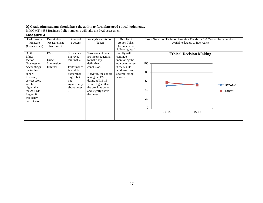In MGMT 4433 Business Policy students will take the PAS assessment.

| ד ט ווטשטווו  |                |               |                     |                     |                                                                             |
|---------------|----------------|---------------|---------------------|---------------------|-----------------------------------------------------------------------------|
| Performance   | Description of | Areas of      | Analysis and Action | Results of          | Insert Graphs or Tables of Resulting Trends for 3-5 Years (please graph all |
| Measure       | Measurement    | Success       | Taken               | <b>Action Taken</b> | available data up to five years)                                            |
| (Competency)  | Instrument     |               |                     | (occurs in the      |                                                                             |
|               |                |               |                     | following year)     |                                                                             |
| On the        | <b>PAS</b>     | Scores have   | Two years of data   | Faculty will        | <b>Ethical Decision Making</b>                                              |
| Ethics        |                | improved      | are inconsequential | continue            |                                                                             |
| section       | Direct         | minimally.    | to make any         | monitoring the      |                                                                             |
| (Business or  | Summative      |               | definitive          | outcomes to see     | 100                                                                         |
| Accounting)   | External       | Performance   | conclusion.         | if the results      |                                                                             |
| the testing   |                | is slightly   |                     | hold true over      |                                                                             |
| cohort        |                | higher than   | However, the cohort | several testing     | 80                                                                          |
| frequency     |                | target, but   | taking the PAS      | periods.            |                                                                             |
| correct score |                | not           | during $AY15-16$    |                     | 60                                                                          |
| will be       |                | significantly | scored higher than  |                     | $\rightarrow$ NWOSU                                                         |
| higher than   |                | above target. | the previous cohort |                     |                                                                             |
| the ACBSP     |                |               | and slightly above  |                     | 40<br>-Target                                                               |
| Region 6      |                |               | the target.         |                     |                                                                             |
| frequency     |                |               |                     |                     | 20                                                                          |
| correct score |                |               |                     |                     |                                                                             |
|               |                |               |                     |                     |                                                                             |
|               |                |               |                     |                     | 0                                                                           |
|               |                |               |                     |                     | 14-15<br>15-16                                                              |
|               |                |               |                     |                     |                                                                             |
|               |                |               |                     |                     |                                                                             |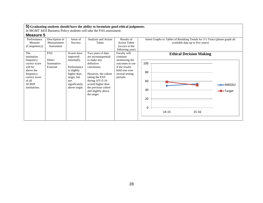In MGMT 4433 Business Policy students will take the PAS assessment.

| Performance   | Description of | Areas of       | Analysis and Action | Results of          | Insert Graphs or Tables of Resulting Trends for 3-5 Years (please graph all |
|---------------|----------------|----------------|---------------------|---------------------|-----------------------------------------------------------------------------|
| Measure       | Measurement    | <b>Success</b> | Taken               | <b>Action Taken</b> | available data up to five years)                                            |
| (Competency)  | Instrument     |                |                     | (occurs in the      |                                                                             |
|               |                |                |                     | following year)     |                                                                             |
| The           | <b>PAS</b>     | Scores have    | Two years of data   | Faculty will        | <b>Ethical Decision Making</b>                                              |
| institution   |                | improved       | are inconsequential | continue            |                                                                             |
| frequency     | Direct         | minimally.     | to make any         | monitoring the      |                                                                             |
| correct score | Summative      |                | definitive          | outcomes to see     | 100                                                                         |
| will be       | External       | Performance    | conclusion.         | if the results      |                                                                             |
| above the     |                | is slightly    |                     | hold true over      |                                                                             |
| frequency     |                | higher than    | However, the cohort | several testing     | 80                                                                          |
| correct score |                | target, but    | taking the PAS      | periods.            |                                                                             |
| of all        |                | not            | during $AY15-16$    |                     | 60                                                                          |
| <b>ACBSP</b>  |                | significantly  | scored higher than  |                     |                                                                             |
| institutions. |                | above target.  | the previous cohort |                     |                                                                             |
|               |                |                | and slightly above  |                     | 40<br>-Target                                                               |
|               |                |                | the target.         |                     |                                                                             |
|               |                |                |                     |                     | 20                                                                          |
|               |                |                |                     |                     |                                                                             |
|               |                |                |                     |                     |                                                                             |
|               |                |                |                     |                     | 0                                                                           |
|               |                |                |                     |                     | 14-15<br>15-16                                                              |
|               |                |                |                     |                     |                                                                             |
|               |                |                |                     |                     |                                                                             |
|               |                |                |                     |                     |                                                                             |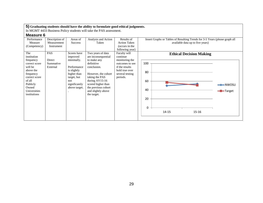In MGMT 4433 Business Policy students will take the PAS assessment.

| uuu.vv        |                |                |                     |                     |                                                                             |
|---------------|----------------|----------------|---------------------|---------------------|-----------------------------------------------------------------------------|
| Performance   | Description of | Areas of       | Analysis and Action | Results of          | Insert Graphs or Tables of Resulting Trends for 3-5 Years (please graph all |
| Measure       | Measurement    | <b>Success</b> | Taken               | <b>Action Taken</b> | available data up to five years)                                            |
| (Competency)  | Instrument     |                |                     | (occurs in the      |                                                                             |
|               |                |                |                     | following year)     |                                                                             |
| The           | <b>PAS</b>     | Scores have    | Two years of data   | Faculty will        | <b>Ethical Decision Making</b>                                              |
| institution   |                | improved       | are inconsequential | continue            |                                                                             |
| frequency     | Direct         | minimally.     | to make any         | monitoring the      |                                                                             |
| correct score | Summative      |                | definitive          | outcomes to see     | 100                                                                         |
| will be       | External       | Performance    | conclusion.         | if the results      |                                                                             |
| above the     |                | is slightly    |                     | hold true over      | 80                                                                          |
| frequency     |                | higher than    | However, the cohort | several testing     |                                                                             |
| correct score |                | target, but    | taking the PAS      | periods.            |                                                                             |
| of all        |                | not            | during $AY15-16$    |                     | 60                                                                          |
| Publicly      |                | significantly  | scored higher than  |                     | $\rightarrow$ NWOSU                                                         |
| Owned         |                | above target.  | the previous cohort |                     |                                                                             |
| Universities  |                |                | and slightly above  |                     | 40<br>-Target                                                               |
| institutions  |                |                | the target.         |                     |                                                                             |
|               |                |                |                     |                     | 20                                                                          |
|               |                |                |                     |                     |                                                                             |
|               |                |                |                     |                     |                                                                             |
|               |                |                |                     |                     | 0                                                                           |
|               |                |                |                     |                     | $15 - 16$<br>$14 - 15$                                                      |
|               |                |                |                     |                     |                                                                             |
|               |                |                |                     |                     |                                                                             |
|               |                |                |                     |                     |                                                                             |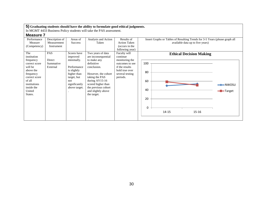In MGMT 4433 Business Policy students will take the PAS assessment.

| Performance   | Description of | Areas of      | Analysis and Action | Results of          | Insert Graphs or Tables of Resulting Trends for 3-5 Years (please graph all |
|---------------|----------------|---------------|---------------------|---------------------|-----------------------------------------------------------------------------|
| Measure       | Measurement    | Success       | Taken               | <b>Action Taken</b> | available data up to five years)                                            |
| (Competency)  | Instrument     |               |                     | (occurs in the      |                                                                             |
|               |                |               |                     | following year)     |                                                                             |
| The           | PAS            | Scores have   | Two years of data   | Faculty will        | <b>Ethical Decision Making</b>                                              |
| institution   |                | improved      | are inconsequential | continue            |                                                                             |
| frequency     | Direct         | minimally.    | to make any         | monitoring the      |                                                                             |
| correct score | Summative      |               | definitive          | outcomes to see     | 100                                                                         |
| will be       | External       | Performance   | conclusion.         | if the results      |                                                                             |
| above the     |                | is slightly   |                     | hold true over      | 80                                                                          |
| frequency     |                | higher than   | However, the cohort | several testing     |                                                                             |
| correct score |                | target, but   | taking the PAS      | periods.            |                                                                             |
| of all        |                | not           | during $AY15-16$    |                     | 60                                                                          |
| institutions  |                | significantly | scored higher than  |                     | $\rightarrow$ NWOSU                                                         |
| inside the    |                | above target. | the previous cohort |                     |                                                                             |
| United        |                |               | and slightly above  |                     | 40<br>-Target                                                               |
| States.       |                |               | the target.         |                     |                                                                             |
|               |                |               |                     |                     | 20                                                                          |
|               |                |               |                     |                     |                                                                             |
|               |                |               |                     |                     |                                                                             |
|               |                |               |                     |                     | 0                                                                           |
|               |                |               |                     |                     | 14-15<br>15-16                                                              |
|               |                |               |                     |                     |                                                                             |
|               |                |               |                     |                     |                                                                             |
|               |                |               |                     |                     |                                                                             |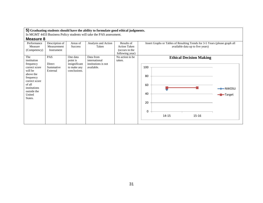In MGMT 4433 Business Policy students will take the PAS assessment.

| Performance<br>Measure | Description of<br>Measurement | Areas of<br><b>Success</b> | Analysis and Action<br>Taken | Results of<br><b>Action Taken</b> | Insert Graphs or Tables of Resulting Trends for 3-5 Years (please graph all<br>available data up to five years) |
|------------------------|-------------------------------|----------------------------|------------------------------|-----------------------------------|-----------------------------------------------------------------------------------------------------------------|
| (Competency)           | Instrument                    |                            |                              | (occurs in the                    |                                                                                                                 |
|                        |                               |                            |                              | following year)                   |                                                                                                                 |
| The                    | PAS                           | One data                   | Data from                    | No action to be                   | <b>Ethical Decision Making</b>                                                                                  |
| institution            |                               | point is                   | international                | taken.                            |                                                                                                                 |
| frequency              | Direct                        | insignificant              | institutions is not          |                                   |                                                                                                                 |
| correct score          | Summative                     | to make any                | available.                   |                                   | 100                                                                                                             |
| will be                | External                      | conclusions.               |                              |                                   |                                                                                                                 |
| above the              |                               |                            |                              |                                   | 80                                                                                                              |
| frequency              |                               |                            |                              |                                   |                                                                                                                 |
| correct score          |                               |                            |                              |                                   |                                                                                                                 |
| of all                 |                               |                            |                              |                                   | 60                                                                                                              |
| institutions           |                               |                            |                              |                                   | $\rightarrow$ NWOSU                                                                                             |
| outside the            |                               |                            |                              |                                   | 40                                                                                                              |
| United                 |                               |                            |                              |                                   | -Target                                                                                                         |
| States.                |                               |                            |                              |                                   |                                                                                                                 |
|                        |                               |                            |                              |                                   | 20                                                                                                              |
|                        |                               |                            |                              |                                   |                                                                                                                 |
|                        |                               |                            |                              |                                   | 0                                                                                                               |
|                        |                               |                            |                              |                                   |                                                                                                                 |
|                        |                               |                            |                              |                                   | $14 - 15$<br>$15 - 16$                                                                                          |
|                        |                               |                            |                              |                                   |                                                                                                                 |
|                        |                               |                            |                              |                                   |                                                                                                                 |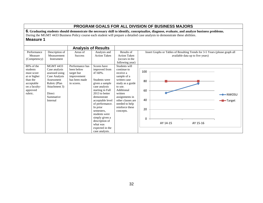# **PROGRAM GOALS FOR ALL DIVISION OF BUSINESS MAJORS**

**6. Graduating students should demonstrate the necessary skill to identify, conceptualize, diagnose, evaluate, and analyze business problems.** During the MGMT 4433 Business Policy course each student will prepare a detailed case analysis to demonstrate these abilities. **Measure 1**

|                                                                                                                        |                                                                                                                                                        | <b>Analysis of Results</b>                                                                |                                                                                                                                                                                                                                                                                                                               |                                                                                                                                                                                                                           |                                                                                                                 |  |
|------------------------------------------------------------------------------------------------------------------------|--------------------------------------------------------------------------------------------------------------------------------------------------------|-------------------------------------------------------------------------------------------|-------------------------------------------------------------------------------------------------------------------------------------------------------------------------------------------------------------------------------------------------------------------------------------------------------------------------------|---------------------------------------------------------------------------------------------------------------------------------------------------------------------------------------------------------------------------|-----------------------------------------------------------------------------------------------------------------|--|
| Performance<br>Measure<br>(Competency)                                                                                 | Description of<br>Measurement<br>Instrument                                                                                                            | Areas of<br><b>Success</b>                                                                | Analysis and<br><b>Action Taken</b>                                                                                                                                                                                                                                                                                           | Results of<br><b>Action Taken</b><br>(occurs in the<br>following year)                                                                                                                                                    | Insert Graphs or Tables of Resulting Trends for 3-5 Years (please graph all<br>available data up to five years) |  |
| 80% of the<br>students<br>must score<br>at or higher<br>than the<br>acceptable<br>on a faculty-<br>approved<br>rubric. | <b>MGMT 4433</b><br>Case analysis<br>assessed using<br>Case Analysis<br>Assessment<br>Rubric (Plan<br>Attachment 3)<br>Direct<br>Summative<br>Internal | Performance has<br>been below<br>target but<br>improvement<br>has been made<br>in scores. | Scores have<br>improved from<br>$47 - 60\%$ .<br>Students were<br>given a sample<br>case analysis<br>starting in Fall<br>2013 to better<br>demonstrate<br>acceptable level<br>of performance.<br>In prior<br>semesters,<br>students were<br>simply given a<br>description of<br>what was<br>expected in the<br>case analysis. | Students will<br>continue to<br>receive a<br>sample of a<br>written case<br>study as a guide<br>to use.<br>Additional<br>written<br>assignments in<br>other classes are<br>needed to help<br>reinforce these<br>concepts. | 100<br>80<br>60<br>$\rightarrow$ NWOSU<br>40<br>-Target<br>20<br>$\Omega$<br>AY 14-15<br>AY 15-16               |  |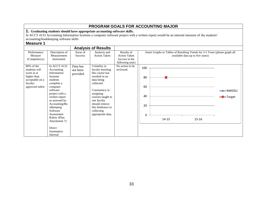# **PROGRAM GOALS FOR ACCOUNTING MAJOR**

**1. Graduating students should have appropriate accounting software skills.**

In ACCT 4133 Accounting Information Systems a computer software project with a written report would be an internal measure of the students'

accounting/bookkeeping software skills

|                                                                                               |                                                                                                                                                                                                                                              |                                        | <b>Analysis of Results</b>                                                                                                                                                                                                    |                                                                                           |                                  |                                                                             |                                  |                                |
|-----------------------------------------------------------------------------------------------|----------------------------------------------------------------------------------------------------------------------------------------------------------------------------------------------------------------------------------------------|----------------------------------------|-------------------------------------------------------------------------------------------------------------------------------------------------------------------------------------------------------------------------------|-------------------------------------------------------------------------------------------|----------------------------------|-----------------------------------------------------------------------------|----------------------------------|--------------------------------|
| Performance<br>Measure<br>(Competency)<br>80% of the                                          | Description of<br>Measurement<br>Instrument<br>In ACCT 4133                                                                                                                                                                                  | Areas of<br><b>Success</b><br>Data has | Analysis and<br><b>Action Taken</b><br>Volatility in                                                                                                                                                                          | Results of<br><b>Action Taken</b><br>(occurs in the<br>following year)<br>No action to be | 100                              | Insert Graphs or Tables of Resulting Trends for 3-5 Years (please graph all | available data up to five years) |                                |
| students will<br>score at or<br>higher than<br>acceptable on a<br>faculty-<br>approved rubric | Accounting<br>Information<br><b>Systems</b><br>students<br>complete a<br>computer<br>software<br>project with a<br>written report<br>as assessed by<br>Accounting/Bo<br>okkeeping<br>Software<br>Assessment<br>Rubric (Plan<br>Attachment 7) | not been<br>provided.                  | faculty teaching<br>this course has<br>resulted in no<br>data being<br>collected.<br>Consistency in<br>assigning<br>courses taught to<br>one faculty<br>should remove<br>this hindrance to<br>collecting<br>appropriate data. | reviewed.                                                                                 | 80<br>60<br>40<br>20<br>$\Omega$ | $14 - 15$                                                                   | 15-16                            | $\rightarrow$ NWOSU<br>-Target |
|                                                                                               | Direct<br>Summative<br>Internal                                                                                                                                                                                                              |                                        |                                                                                                                                                                                                                               |                                                                                           |                                  |                                                                             |                                  |                                |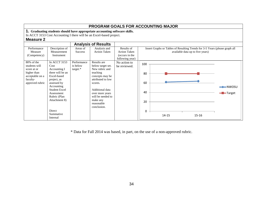|                                                                                                                                                            |                                                                                                                                                                                                                               |                                       |                                                                                                                                                                                                                       |                                                                                                                 |                                         | <b>PROGRAM GOALS FOR ACCOUNTING MAJOR</b> |           |                                         |
|------------------------------------------------------------------------------------------------------------------------------------------------------------|-------------------------------------------------------------------------------------------------------------------------------------------------------------------------------------------------------------------------------|---------------------------------------|-----------------------------------------------------------------------------------------------------------------------------------------------------------------------------------------------------------------------|-----------------------------------------------------------------------------------------------------------------|-----------------------------------------|-------------------------------------------|-----------|-----------------------------------------|
|                                                                                                                                                            |                                                                                                                                                                                                                               |                                       | 1. Graduating students should have appropriate accounting software skills.<br>In ACCT 3153 Cost Accounting I there will be an Excel-based project.                                                                    |                                                                                                                 |                                         |                                           |           |                                         |
| <b>Measure 2</b>                                                                                                                                           |                                                                                                                                                                                                                               |                                       |                                                                                                                                                                                                                       |                                                                                                                 |                                         |                                           |           |                                         |
|                                                                                                                                                            |                                                                                                                                                                                                                               |                                       | <b>Analysis of Results</b>                                                                                                                                                                                            |                                                                                                                 |                                         |                                           |           |                                         |
| Description of<br>Performance<br>Areas of<br>Analysis and<br><b>Action Taken</b><br>Measurement<br>Measure<br><b>Success</b><br>(Competency)<br>Instrument |                                                                                                                                                                                                                               |                                       | Results of<br><b>Action Taken</b><br>(occurs in the<br>following year)                                                                                                                                                | Insert Graphs or Tables of Resulting Trends for 3-5 Years (please graph all<br>available data up to five years) |                                         |                                           |           |                                         |
| $80\%$ of the<br>students will<br>score at or<br>higher than<br>acceptable on a<br>faculty-<br>approved rubric                                             | In ACCT 3153<br>Cost<br>Accounting I<br>there will be an<br>Excel-based<br>project, as<br>assessed by<br>Accounting<br>Student Excel<br>Assessment<br>Rubric (Plan<br>Attachment 8)<br><b>Direct</b><br>Summative<br>Internal | Performance<br>is below<br>$target.*$ | Results are<br>below target set.<br>New rubric and<br>teaching<br>concepts may be<br>attributed to low<br>scores.<br>Additional data<br>over more years<br>will be needed to<br>make any<br>reasonable<br>conclusion. | No action to<br>be reviewed.                                                                                    | 100<br>80<br>60<br>40<br>20<br>$\Omega$ | 14-15                                     | $15 - 16$ | $\rightarrow$ NWOSU<br><b>-B</b> Target |

\* Data for Fall 2014 was based, in part, on the use of a non-approved rubric.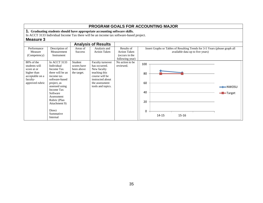|                                                                                                             |                                                                                                                                                                                                                                           |                                                     | <b>PROGRAM GOALS FOR ACCOUNTING MAJOR</b>                                                                                                                            |                                                                        |                                         |                                                                                                                 |                            |
|-------------------------------------------------------------------------------------------------------------|-------------------------------------------------------------------------------------------------------------------------------------------------------------------------------------------------------------------------------------------|-----------------------------------------------------|----------------------------------------------------------------------------------------------------------------------------------------------------------------------|------------------------------------------------------------------------|-----------------------------------------|-----------------------------------------------------------------------------------------------------------------|----------------------------|
| Measure 3                                                                                                   |                                                                                                                                                                                                                                           |                                                     | 1. Graduating students should have appropriate accounting software skills.<br>In ACCT 3133 Individual Income Tax there will be an income tax software-based project. |                                                                        |                                         |                                                                                                                 |                            |
|                                                                                                             |                                                                                                                                                                                                                                           |                                                     | <b>Analysis of Results</b>                                                                                                                                           |                                                                        |                                         |                                                                                                                 |                            |
| Performance<br>Measure<br>(Competency)                                                                      | Description of<br>Measurement<br>Instrument                                                                                                                                                                                               | Areas of<br><b>Success</b>                          | Analysis and<br><b>Action Taken</b>                                                                                                                                  | Results of<br><b>Action Taken</b><br>(occurs in the<br>following year) |                                         | Insert Graphs or Tables of Resulting Trends for 3-5 Years (please graph all<br>available data up to five years) |                            |
| 80% of the<br>students will<br>score at or<br>higher than<br>acceptable on a<br>faculty-<br>approved rubric | In ACCT 3133<br>Individual<br>Income Tax<br>there will be an<br>income tax<br>software-based<br>project, as<br>assessed using<br>Income Tax<br>Software<br>Assessment<br>Rubric (Plan<br>Attachment 9)<br>Direct<br>Summative<br>Internal | Student<br>scores have<br>been above<br>the target. | Faculty turnover<br>has occurred.<br>New faculty<br>teaching this<br>course will be<br>instructed about<br>the assessment<br>tools and topics.                       | No action to be<br>reviewed.                                           | 100<br>80<br>60<br>40<br>20<br>$\Omega$ | 15-16<br>$14 - 15$                                                                                              | ←NWOSU<br><b>- T</b> arget |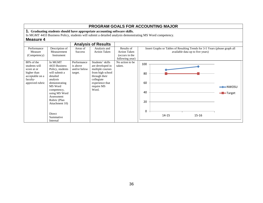|                                                                                                                |                                                                                                                                                                                                                                             |                                                    |                                                                                                                                                                                               |                                                                        |                                         | <b>PROGRAM GOALS FOR ACCOUNTING MAJOR</b> |                                                                                                                 |                                           |
|----------------------------------------------------------------------------------------------------------------|---------------------------------------------------------------------------------------------------------------------------------------------------------------------------------------------------------------------------------------------|----------------------------------------------------|-----------------------------------------------------------------------------------------------------------------------------------------------------------------------------------------------|------------------------------------------------------------------------|-----------------------------------------|-------------------------------------------|-----------------------------------------------------------------------------------------------------------------|-------------------------------------------|
| Measure 4                                                                                                      |                                                                                                                                                                                                                                             |                                                    | <b>1.</b> Graduating students should have appropriate accounting software skills.<br>In MGMT 4433 Business Policy, students will submit a detailed analysis demonstrating MS Word competency. |                                                                        |                                         |                                           |                                                                                                                 |                                           |
|                                                                                                                |                                                                                                                                                                                                                                             |                                                    | <b>Analysis of Results</b>                                                                                                                                                                    |                                                                        |                                         |                                           |                                                                                                                 |                                           |
| Performance<br>Measure<br>(Competency)                                                                         | Description of<br>Measurement<br>Instrument                                                                                                                                                                                                 | Areas of<br><b>Success</b>                         | Analysis and<br><b>Action Taken</b>                                                                                                                                                           | Results of<br><b>Action Taken</b><br>(occurs in the<br>following year) |                                         |                                           | Insert Graphs or Tables of Resulting Trends for 3-5 Years (please graph all<br>available data up to five years) |                                           |
| $80\%$ of the<br>students will<br>score at or<br>higher than<br>acceptable on a<br>faculty-<br>approved rubric | In MGMT<br>4433 Business<br>Policy, students<br>will submit a<br>detailed<br>analysis<br>demonstrating<br>MS Word<br>competency,<br>using MS Word<br>Assessment<br>Rubric (Plan<br>Attachment 10)<br><b>Direct</b><br>Summative<br>Internal | Performance<br>is above<br>and/or below<br>target. | Students' skills<br>are developed in<br>multiple courses<br>from high school<br>through their<br>collegiate<br>experience that<br>require MS<br>Word.                                         | No action to be<br>taken.                                              | 100<br>80<br>60<br>40<br>20<br>$\Omega$ | $14 - 15$                                 | $15 - 16$                                                                                                       | $\rightarrow$ NWOSU<br>- <b>D</b> -Target |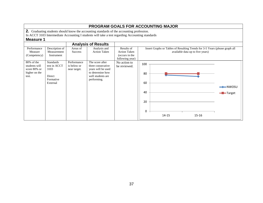|                                                                                                                                                             |                                              |                                                                                                                    |                                                                        | <b>PROGRAM GOALS FOR ACCOUNTING MAJOR</b>                                                                       |                                |
|-------------------------------------------------------------------------------------------------------------------------------------------------------------|----------------------------------------------|--------------------------------------------------------------------------------------------------------------------|------------------------------------------------------------------------|-----------------------------------------------------------------------------------------------------------------|--------------------------------|
| 2. Graduating students should know the accounting standards of the accounting profession.                                                                   |                                              |                                                                                                                    |                                                                        |                                                                                                                 |                                |
| In ACCT 3103 Intermediate Accounting I students will take a test regarding Accounting standards                                                             |                                              |                                                                                                                    |                                                                        |                                                                                                                 |                                |
| <b>Measure 1</b>                                                                                                                                            |                                              |                                                                                                                    |                                                                        |                                                                                                                 |                                |
|                                                                                                                                                             |                                              | <b>Analysis of Results</b>                                                                                         |                                                                        |                                                                                                                 |                                |
| Performance<br>Measure<br>Measurement<br>(Competency)<br>Instrument                                                                                         | Description of<br>Areas of<br><b>Success</b> | Analysis and<br><b>Action Taken</b>                                                                                | Results of<br><b>Action Taken</b><br>(occurs in the<br>following year) | Insert Graphs or Tables of Resulting Trends for 3-5 Years (please graph all<br>available data up to five years) |                                |
| 80% of the<br><b>Standards</b><br>test in ACCT<br>students will<br>3103<br>score 80% or<br>higher on the<br><b>Direct</b><br>test.<br>Formative<br>External | Performance<br>is below or<br>near target.   | The score after<br>three consecutive<br>years will be used<br>to determine how<br>well students are<br>performing. | No action to<br>be reviewed.                                           | 100<br>80<br>60<br>40<br>20<br>$\Omega$<br>14-15<br>15-16                                                       | $\rightarrow$ NWOSU<br>-Target |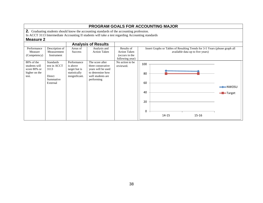|                                                                                                                                                             |                                                                             |                                                                                                                   |                                                                        | <b>PROGRAM GOALS FOR ACCOUNTING MAJOR</b>                                                                       |  |
|-------------------------------------------------------------------------------------------------------------------------------------------------------------|-----------------------------------------------------------------------------|-------------------------------------------------------------------------------------------------------------------|------------------------------------------------------------------------|-----------------------------------------------------------------------------------------------------------------|--|
| 2. Graduating students should know the accounting standards of the accounting profession.                                                                   |                                                                             |                                                                                                                   |                                                                        |                                                                                                                 |  |
| In ACCT 3113 Intermediate Accounting II students will take a test regarding Accounting standards                                                            |                                                                             |                                                                                                                   |                                                                        |                                                                                                                 |  |
| <b>Measure 2</b>                                                                                                                                            |                                                                             |                                                                                                                   |                                                                        |                                                                                                                 |  |
|                                                                                                                                                             |                                                                             | <b>Analysis of Results</b>                                                                                        |                                                                        |                                                                                                                 |  |
| Description of<br>Performance<br>Measurement<br>Measure<br>(Competency)<br>Instrument                                                                       | Areas of<br><b>Success</b>                                                  | Analysis and<br><b>Action Taken</b>                                                                               | Results of<br><b>Action Taken</b><br>(occurs in the<br>following year) | Insert Graphs or Tables of Resulting Trends for 3-5 Years (please graph all<br>available data up to five years) |  |
| 80% of the<br><b>Standards</b><br>test in ACCT<br>students will<br>score 80% or<br>3113<br>higher on the<br><b>Direct</b><br>test.<br>Summative<br>External | Performance<br>is above<br>target but is<br>statistically<br>insignificant. | The score after<br>three consecutive<br>years will be used<br>to determine how<br>well students are<br>performing | No action to be<br>reviewed.                                           | 100<br>80<br>60<br>$-$ NWOSU<br>40<br><del>-</del> Target<br>20<br>0<br>$14 - 15$<br>$15 - 16$                  |  |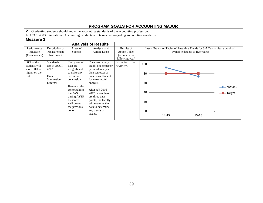|               |                  |                |                                                                                                 |                     |     | <b>PROGRAM GOALS FOR ACCOUNTING MAJOR</b>                                   |                                  |                             |
|---------------|------------------|----------------|-------------------------------------------------------------------------------------------------|---------------------|-----|-----------------------------------------------------------------------------|----------------------------------|-----------------------------|
|               |                  |                | 2. Graduating students should know the accounting standards of the accounting profession.       |                     |     |                                                                             |                                  |                             |
|               |                  |                | In ACCT 4303 International Accounting, students will take a test regarding Accounting standards |                     |     |                                                                             |                                  |                             |
| Measure 3     |                  |                |                                                                                                 |                     |     |                                                                             |                                  |                             |
|               |                  |                | <b>Analysis of Results</b>                                                                      |                     |     |                                                                             |                                  |                             |
| Performance   | Description of   | Areas of       | Analysis and                                                                                    | Results of          |     | Insert Graphs or Tables of Resulting Trends for 3-5 Years (please graph all |                                  |                             |
| Measure       | Measurement      | <b>Success</b> | <b>Action Taken</b>                                                                             | <b>Action Taken</b> |     |                                                                             | available data up to five years) |                             |
| (Competency)  | Instrument       |                |                                                                                                 | (occurs in the      |     |                                                                             |                                  |                             |
|               |                  |                |                                                                                                 | following year)     |     |                                                                             |                                  |                             |
| 80% of the    | <b>Standards</b> | Two years of   | The class is only                                                                               | No action to be     | 100 |                                                                             |                                  |                             |
| students will | test in ACCT     | data are       | taught one semester                                                                             | reviewed.           |     |                                                                             |                                  |                             |
| score 80% or  | 4303             | insignificant  | per academic year.                                                                              |                     |     |                                                                             |                                  |                             |
| higher on the |                  | to make any    | One semester of                                                                                 |                     | 80  |                                                                             |                                  |                             |
| test.         | Direct           | definitive     | data is insufficient.                                                                           |                     |     |                                                                             |                                  |                             |
|               | Summative        | conclusion.    | for meaningful                                                                                  |                     |     |                                                                             |                                  |                             |
|               | External         |                | analysis.                                                                                       |                     | 60  |                                                                             |                                  |                             |
|               |                  | However, the   |                                                                                                 |                     |     |                                                                             |                                  | $\blacktriangleright$ NWOSU |
|               |                  | cohort taking  | After AY 2016-                                                                                  |                     |     |                                                                             |                                  |                             |
|               |                  | the PAS        | 2017, when there                                                                                |                     | 40  |                                                                             |                                  | - <b>D</b> -Target          |
|               |                  | during AY15-   | are three data                                                                                  |                     |     |                                                                             |                                  |                             |
|               |                  | 16 scored      | points, the faculty                                                                             |                     | 20  |                                                                             |                                  |                             |
|               |                  | well below     | will examine the                                                                                |                     |     |                                                                             |                                  |                             |
|               |                  | the previous   | data to determine                                                                               |                     |     |                                                                             |                                  |                             |
|               |                  | cohort.        | any trends or                                                                                   |                     | 0   |                                                                             |                                  |                             |
|               |                  |                | issues.                                                                                         |                     |     | $14 - 15$                                                                   | $15 - 16$                        |                             |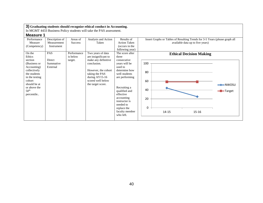### **3) Graduating students should recognize ethical conduct in Accounting.** In MGMT 4433 Business Policy students will take the PAS assessment. **Measure 1** Performance Measure (Competency) Description of Measurement Instrument Areas of **Success** Analysis and Action Taken Results of Action Taken (occurs in the following year) Insert Graphs or Tables of Resulting Trends for 3-5 Years (please graph all available data up to five years) On the Ethics section (Business or Accounting) collectively the students in the testing cohort should be at or above the 50th percentile.. PAS Direct Summative External Performance is below target. Two years of data are insignificant to make any definitive conclusion. However, the cohort taking the PAS during AY15-16 scored well below the target score. The score after three consecutive years will be used to determine how well students are performing Recruiting a qualified and effective accounting instructor is needed to replace the faculty member who left. **Ethical Decision Making** 0 20 40 60 80 100 14-15 15-16 **NWOSU -D**-Target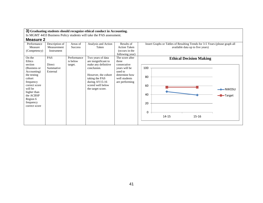In MGMT 4433 Business Policy students will take the PAS assessment.

| Performance<br>Measure | Description of<br>Measurement | Areas of<br><b>Success</b> | Analysis and Action<br>Taken | Results of<br><b>Action Taken</b> | Insert Graphs or Tables of Resulting Trends for 3-5 Years (please graph all<br>available data up to five years) |
|------------------------|-------------------------------|----------------------------|------------------------------|-----------------------------------|-----------------------------------------------------------------------------------------------------------------|
| (Competency)           | Instrument                    |                            |                              | (occurs in the                    |                                                                                                                 |
|                        |                               |                            |                              | following year)                   |                                                                                                                 |
| On the                 | PAS                           | Performance                | Two years of data            | The score after                   | <b>Ethical Decision Making</b>                                                                                  |
| Ethics                 |                               | is below                   | are insignificant to         | three                             |                                                                                                                 |
| section                | Direct                        | target.                    | make any definitive          | consecutive                       |                                                                                                                 |
| (Business or           | Summative                     |                            | conclusion.                  | years will be                     | 100                                                                                                             |
| Accounting)            | External                      |                            |                              | used to                           |                                                                                                                 |
| the testing            |                               |                            | However, the cohort          | determine how                     | 80                                                                                                              |
| cohort                 |                               |                            | taking the PAS               | well students                     |                                                                                                                 |
| frequency              |                               |                            | during $AY15-16$             | are performing                    |                                                                                                                 |
| correct score          |                               |                            | scored well below            |                                   | 60                                                                                                              |
| will be                |                               |                            | the target score.            |                                   | $\rightarrow\hspace{-.05in}NWOSU$                                                                               |
| higher than            |                               |                            |                              |                                   | 40                                                                                                              |
| the ACBSP              |                               |                            |                              |                                   | -Target                                                                                                         |
| Region 6               |                               |                            |                              |                                   |                                                                                                                 |
| frequency              |                               |                            |                              |                                   | 20                                                                                                              |
| correct score          |                               |                            |                              |                                   |                                                                                                                 |
|                        |                               |                            |                              |                                   |                                                                                                                 |
|                        |                               |                            |                              |                                   | 0                                                                                                               |
|                        |                               |                            |                              |                                   | $14 - 15$<br>15-16                                                                                              |
|                        |                               |                            |                              |                                   |                                                                                                                 |
|                        |                               |                            |                              |                                   |                                                                                                                 |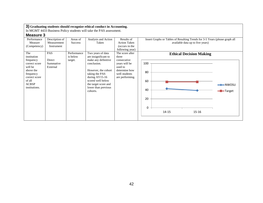In MGMT 4433 Business Policy students will take the PAS assessment.

| Performance   | Description of | Areas of       | Analysis and Action  | Results of          | Insert Graphs or Tables of Resulting Trends for 3-5 Years (please graph all |
|---------------|----------------|----------------|----------------------|---------------------|-----------------------------------------------------------------------------|
| Measure       | Measurement    | <b>Success</b> | Taken                | <b>Action Taken</b> | available data up to five years)                                            |
| (Competency)  | Instrument     |                |                      | (occurs in the      |                                                                             |
|               |                |                |                      | following year)     |                                                                             |
| The           | PAS            | Performance    | Two years of data    | The score after     | <b>Ethical Decision Making</b>                                              |
| institution   |                | is below       | are insignificant to | three               |                                                                             |
| frequency     | Direct         | target.        | make any definitive  | consecutive         |                                                                             |
| correct score | Summative      |                | conclusion.          | years will be       | 100                                                                         |
| will be       | External       |                |                      | used to             |                                                                             |
| above the     |                |                | However, the cohort  | determine how       |                                                                             |
| frequency     |                |                | taking the PAS       | well students       | 80                                                                          |
| correct score |                |                | during $AY15-16$     | are performing.     |                                                                             |
| of all        |                |                | scored well below    |                     | 60                                                                          |
| <b>ACBSP</b>  |                |                | the target score and |                     | $\rightarrow$ NWOSU                                                         |
| institutions. |                |                | lower than previous  |                     |                                                                             |
|               |                |                | cohorts.             |                     | 40<br>-Target                                                               |
|               |                |                |                      |                     |                                                                             |
|               |                |                |                      |                     | 20                                                                          |
|               |                |                |                      |                     |                                                                             |
|               |                |                |                      |                     |                                                                             |
|               |                |                |                      |                     | 0                                                                           |
|               |                |                |                      |                     | 15-16<br>14-15                                                              |
|               |                |                |                      |                     |                                                                             |
|               |                |                |                      |                     |                                                                             |
|               |                |                |                      |                     |                                                                             |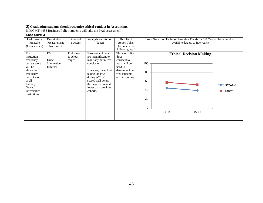In MGMT 4433 Business Policy students will take the PAS assessment.

| Performance   | Description of | Areas of       | Analysis and Action  | Results of          | Insert Graphs or Tables of Resulting Trends for 3-5 Years (please graph all |
|---------------|----------------|----------------|----------------------|---------------------|-----------------------------------------------------------------------------|
| Measure       | Measurement    | <b>Success</b> | Taken                | <b>Action Taken</b> | available data up to five years)                                            |
| (Competency)  | Instrument     |                |                      | (occurs in the      |                                                                             |
|               |                |                |                      | following year)     |                                                                             |
| The           | PAS            | Performance    | Two years of data    | The score after     | <b>Ethical Decision Making</b>                                              |
| institution   |                | is below       | are insignificant to | three               |                                                                             |
| frequency     | Direct         | target.        | make any definitive  | consecutive         |                                                                             |
| correct score | Summative      |                | conclusion.          | years will be       | 100                                                                         |
| will be       | External       |                |                      | used to             |                                                                             |
| above the     |                |                | However, the cohort  | determine how       |                                                                             |
| frequency     |                |                | taking the PAS       | well students       | 80                                                                          |
| correct score |                |                | during AY15-16       | are performing.     |                                                                             |
| of all        |                |                | scored well below    |                     | 60                                                                          |
| Publicly      |                |                | the target score and |                     | $\rightarrow$ NWOSU                                                         |
| Owned         |                |                | lower than previous  |                     |                                                                             |
| Universities  |                |                | cohorts.             |                     | 40<br>-Target                                                               |
| institutions  |                |                |                      |                     |                                                                             |
|               |                |                |                      |                     | 20                                                                          |
|               |                |                |                      |                     |                                                                             |
|               |                |                |                      |                     |                                                                             |
|               |                |                |                      |                     | 0                                                                           |
|               |                |                |                      |                     | 14-15<br>$15 - 16$                                                          |
|               |                |                |                      |                     |                                                                             |
|               |                |                |                      |                     |                                                                             |
|               |                |                |                      |                     |                                                                             |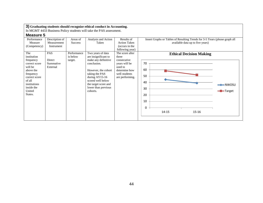In MGMT 4433 Business Policy students will take the PAS assessment.

| Performance                                                                                                                                    | Description of                         | Areas of                           | Analysis and Action                                                                                                                                                                                              | Results of                                                                                                               | Insert Graphs or Tables of Resulting Trends for 3-5 Years (please graph all |                     |
|------------------------------------------------------------------------------------------------------------------------------------------------|----------------------------------------|------------------------------------|------------------------------------------------------------------------------------------------------------------------------------------------------------------------------------------------------------------|--------------------------------------------------------------------------------------------------------------------------|-----------------------------------------------------------------------------|---------------------|
| Measure                                                                                                                                        | Measurement                            | <b>Success</b>                     | Taken                                                                                                                                                                                                            | <b>Action Taken</b>                                                                                                      | available data up to five years)                                            |                     |
| (Competency)                                                                                                                                   | Instrument                             |                                    |                                                                                                                                                                                                                  | (occurs in the                                                                                                           |                                                                             |                     |
|                                                                                                                                                |                                        |                                    |                                                                                                                                                                                                                  | following year)                                                                                                          |                                                                             |                     |
| The<br>institution<br>frequency<br>correct score<br>will be<br>above the<br>frequency<br>correct score<br>of all<br>institutions<br>inside the | PAS<br>Direct<br>Summative<br>External | Performance<br>is below<br>target. | Two years of data<br>are insignificant to<br>make any definitive<br>conclusion.<br>However, the cohort<br>taking the PAS<br>during $AY15-16$<br>scored well below<br>the target score and<br>lower than previous | The score after<br>three<br>consecutive<br>years will be<br>used to<br>determine how<br>well students<br>are performing. | <b>Ethical Decision Making</b><br>70<br>60<br>50<br>40                      | $\rightarrow$ NWOSU |
| United                                                                                                                                         |                                        |                                    | cohorts.                                                                                                                                                                                                         |                                                                                                                          | 30                                                                          | -Target             |
| States.                                                                                                                                        |                                        |                                    |                                                                                                                                                                                                                  |                                                                                                                          | 20<br>10<br>0                                                               |                     |
|                                                                                                                                                |                                        |                                    |                                                                                                                                                                                                                  |                                                                                                                          | 14-15<br>15-16                                                              |                     |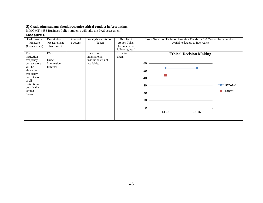In MGMT 4433 Business Policy students will take the PAS assessment.

| Performance   | Description of | Areas of       | Analysis and Action | Results of          | Insert Graphs or Tables of Resulting Trends for 3-5 Years (please graph all |
|---------------|----------------|----------------|---------------------|---------------------|-----------------------------------------------------------------------------|
| Measure       | Measurement    | <b>Success</b> | Taken               | <b>Action Taken</b> | available data up to five years)                                            |
| (Competency)  | Instrument     |                |                     | (occurs in the      |                                                                             |
|               |                |                |                     | following year)     |                                                                             |
| The           | PAS            |                | Data from           | No action           | <b>Ethical Decision Making</b>                                              |
| institution   |                |                | international       | taken.              |                                                                             |
| frequency     | Direct         |                | institutions is not |                     |                                                                             |
| correct score | Summative      |                | available.          |                     | 60                                                                          |
| will be       | External       |                |                     |                     |                                                                             |
| above the     |                |                |                     |                     | 50                                                                          |
| frequency     |                |                |                     |                     |                                                                             |
| correct score |                |                |                     |                     | 40                                                                          |
| of all        |                |                |                     |                     |                                                                             |
| institutions  |                |                |                     |                     | $\rightarrow$ NWOSU                                                         |
| outside the   |                |                |                     |                     | 30                                                                          |
| United        |                |                |                     |                     | -Target                                                                     |
| States.       |                |                |                     |                     | 20                                                                          |
|               |                |                |                     |                     |                                                                             |
|               |                |                |                     |                     | 10                                                                          |
|               |                |                |                     |                     |                                                                             |
|               |                |                |                     |                     | 0                                                                           |
|               |                |                |                     |                     | 15-16<br>14-15                                                              |
|               |                |                |                     |                     |                                                                             |
|               |                |                |                     |                     |                                                                             |
|               |                |                |                     |                     |                                                                             |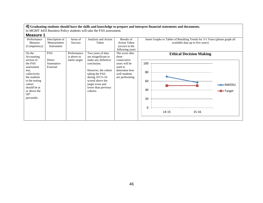| <b>Measure 1</b> |  |
|------------------|--|
|------------------|--|

| Description of<br>Analysis and Action<br>Insert Graphs or Tables of Resulting Trends for 3-5 Years (please graph all<br>Performance<br>Areas of<br>Results of<br>available data up to five years)<br>Measurement<br><b>Action Taken</b><br>Measure<br><b>Success</b><br>Taken<br>(occurs in the<br>(Competency)<br>Instrument<br>following year)<br><b>PAS</b><br>On the<br>Performance<br>The score after<br>Two years of data<br><b>Ethical Decision Making</b><br>is above or<br>are insignificant to<br>Accounting<br>three<br>Direct<br>make any definitive<br>section of<br>consecutive<br>meets target.<br>100<br>the PAS<br>conclusion.<br>years will be<br>Summative<br>used to<br>External<br>assessment<br>However, the cohort<br>determine how<br>test,<br>80<br>taking the PAS<br>well students<br>collectively<br>during $AY15-16$<br>the students<br>are performing.<br>scored above the<br>in the testing<br>60<br>cohort<br>target score and<br>$\rightarrow$ NWOSU<br>should be at<br>lower than previous<br>40<br>-Target<br>or above the<br>cohorts.<br>50 <sup>th</sup><br>percentile.<br>20<br>0<br>$15 - 16$<br>14-15 |  |  |  |
|----------------------------------------------------------------------------------------------------------------------------------------------------------------------------------------------------------------------------------------------------------------------------------------------------------------------------------------------------------------------------------------------------------------------------------------------------------------------------------------------------------------------------------------------------------------------------------------------------------------------------------------------------------------------------------------------------------------------------------------------------------------------------------------------------------------------------------------------------------------------------------------------------------------------------------------------------------------------------------------------------------------------------------------------------------------------------------------------------------------------------------------------|--|--|--|
|                                                                                                                                                                                                                                                                                                                                                                                                                                                                                                                                                                                                                                                                                                                                                                                                                                                                                                                                                                                                                                                                                                                                              |  |  |  |
|                                                                                                                                                                                                                                                                                                                                                                                                                                                                                                                                                                                                                                                                                                                                                                                                                                                                                                                                                                                                                                                                                                                                              |  |  |  |
|                                                                                                                                                                                                                                                                                                                                                                                                                                                                                                                                                                                                                                                                                                                                                                                                                                                                                                                                                                                                                                                                                                                                              |  |  |  |
|                                                                                                                                                                                                                                                                                                                                                                                                                                                                                                                                                                                                                                                                                                                                                                                                                                                                                                                                                                                                                                                                                                                                              |  |  |  |
|                                                                                                                                                                                                                                                                                                                                                                                                                                                                                                                                                                                                                                                                                                                                                                                                                                                                                                                                                                                                                                                                                                                                              |  |  |  |
|                                                                                                                                                                                                                                                                                                                                                                                                                                                                                                                                                                                                                                                                                                                                                                                                                                                                                                                                                                                                                                                                                                                                              |  |  |  |
|                                                                                                                                                                                                                                                                                                                                                                                                                                                                                                                                                                                                                                                                                                                                                                                                                                                                                                                                                                                                                                                                                                                                              |  |  |  |
|                                                                                                                                                                                                                                                                                                                                                                                                                                                                                                                                                                                                                                                                                                                                                                                                                                                                                                                                                                                                                                                                                                                                              |  |  |  |
|                                                                                                                                                                                                                                                                                                                                                                                                                                                                                                                                                                                                                                                                                                                                                                                                                                                                                                                                                                                                                                                                                                                                              |  |  |  |
|                                                                                                                                                                                                                                                                                                                                                                                                                                                                                                                                                                                                                                                                                                                                                                                                                                                                                                                                                                                                                                                                                                                                              |  |  |  |
|                                                                                                                                                                                                                                                                                                                                                                                                                                                                                                                                                                                                                                                                                                                                                                                                                                                                                                                                                                                                                                                                                                                                              |  |  |  |
|                                                                                                                                                                                                                                                                                                                                                                                                                                                                                                                                                                                                                                                                                                                                                                                                                                                                                                                                                                                                                                                                                                                                              |  |  |  |
|                                                                                                                                                                                                                                                                                                                                                                                                                                                                                                                                                                                                                                                                                                                                                                                                                                                                                                                                                                                                                                                                                                                                              |  |  |  |
|                                                                                                                                                                                                                                                                                                                                                                                                                                                                                                                                                                                                                                                                                                                                                                                                                                                                                                                                                                                                                                                                                                                                              |  |  |  |
|                                                                                                                                                                                                                                                                                                                                                                                                                                                                                                                                                                                                                                                                                                                                                                                                                                                                                                                                                                                                                                                                                                                                              |  |  |  |
|                                                                                                                                                                                                                                                                                                                                                                                                                                                                                                                                                                                                                                                                                                                                                                                                                                                                                                                                                                                                                                                                                                                                              |  |  |  |
|                                                                                                                                                                                                                                                                                                                                                                                                                                                                                                                                                                                                                                                                                                                                                                                                                                                                                                                                                                                                                                                                                                                                              |  |  |  |
|                                                                                                                                                                                                                                                                                                                                                                                                                                                                                                                                                                                                                                                                                                                                                                                                                                                                                                                                                                                                                                                                                                                                              |  |  |  |
|                                                                                                                                                                                                                                                                                                                                                                                                                                                                                                                                                                                                                                                                                                                                                                                                                                                                                                                                                                                                                                                                                                                                              |  |  |  |
|                                                                                                                                                                                                                                                                                                                                                                                                                                                                                                                                                                                                                                                                                                                                                                                                                                                                                                                                                                                                                                                                                                                                              |  |  |  |
|                                                                                                                                                                                                                                                                                                                                                                                                                                                                                                                                                                                                                                                                                                                                                                                                                                                                                                                                                                                                                                                                                                                                              |  |  |  |
|                                                                                                                                                                                                                                                                                                                                                                                                                                                                                                                                                                                                                                                                                                                                                                                                                                                                                                                                                                                                                                                                                                                                              |  |  |  |
|                                                                                                                                                                                                                                                                                                                                                                                                                                                                                                                                                                                                                                                                                                                                                                                                                                                                                                                                                                                                                                                                                                                                              |  |  |  |
|                                                                                                                                                                                                                                                                                                                                                                                                                                                                                                                                                                                                                                                                                                                                                                                                                                                                                                                                                                                                                                                                                                                                              |  |  |  |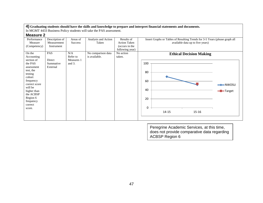In MGMT 4433 Business Policy students will take the PAS assessment.

| <b>Measure 2</b> |  |
|------------------|--|
|------------------|--|

| Performance   | Description of | Areas of   | Analysis and Action | Results of          | Insert Graphs or Tables of Resulting Trends for 3-5 Years (please graph all |
|---------------|----------------|------------|---------------------|---------------------|-----------------------------------------------------------------------------|
| Measure       | Measurement    | Success    | Taken               | <b>Action Taken</b> | available data up to five years)                                            |
| (Competency)  | Instrument     |            |                     | (occurs in the      |                                                                             |
|               |                |            |                     | following year)     |                                                                             |
| On the        | PAS            | N/A        | No comparison data  | No action           | <b>Ethical Decision Making</b>                                              |
| Accounting    |                | Refer to   | is available.       | taken.              |                                                                             |
| section of    | Direct         | Measures 1 |                     |                     |                                                                             |
| the PAS       | Summative      | and $3$ .  |                     |                     | 100                                                                         |
| assessment    | External       |            |                     |                     |                                                                             |
| test, the     |                |            |                     |                     |                                                                             |
| testing       |                |            |                     |                     | 80                                                                          |
| cohort        |                |            |                     |                     |                                                                             |
| frequency     |                |            |                     |                     | 60                                                                          |
| correct score |                |            |                     |                     |                                                                             |
| will be       |                |            |                     |                     |                                                                             |
| higher than   |                |            |                     |                     | 40<br>-Target                                                               |
| the ACBSP     |                |            |                     |                     |                                                                             |
| Region 6      |                |            |                     |                     | 20                                                                          |
| frequency     |                |            |                     |                     |                                                                             |
| correct       |                |            |                     |                     |                                                                             |
| score.        |                |            |                     |                     | $\Omega$                                                                    |
|               |                |            |                     |                     | 14-15<br>15-16                                                              |
|               |                |            |                     |                     |                                                                             |
|               |                |            |                     |                     |                                                                             |
|               |                |            |                     |                     |                                                                             |

Peregrine Academic Services, at this time, does not provide comparative data regarding ACBSP Region 6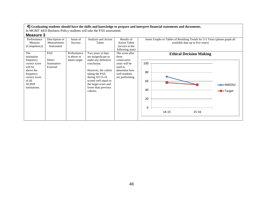| <b>Measure 3</b> |  |
|------------------|--|
|------------------|--|

| Performance   | Description of | Areas of       | Analysis and Action  | Results of          | Insert Graphs or Tables of Resulting Trends for 3-5 Years (please graph all |  |  |  |
|---------------|----------------|----------------|----------------------|---------------------|-----------------------------------------------------------------------------|--|--|--|
| Measure       | Measurement    | <b>Success</b> | Taken                | <b>Action Taken</b> | available data up to five years)                                            |  |  |  |
| (Competency)  | Instrument     |                |                      | (occurs in the      |                                                                             |  |  |  |
|               |                |                |                      | following year)     |                                                                             |  |  |  |
| The           | <b>PAS</b>     | Performance    | Two years of data    | The score after     | <b>Ethical Decision Making</b>                                              |  |  |  |
| institution   |                | is above or    | are insignificant to | three               |                                                                             |  |  |  |
| frequency     | Direct         | meets target.  | make any definitive  | consecutive         |                                                                             |  |  |  |
| correct score | Summative      |                | conclusion.          | years will be       | 100                                                                         |  |  |  |
| will be       | External       |                |                      | used to             |                                                                             |  |  |  |
| above the     |                |                | However, the cohort  | determine how       |                                                                             |  |  |  |
| frequency     |                |                | taking the PAS       | well students       | 80                                                                          |  |  |  |
| correct score |                |                | during $AY15-16$     | are performing.     |                                                                             |  |  |  |
| of all        |                |                | scored well equal to |                     | 60                                                                          |  |  |  |
| <b>ACBSP</b>  |                |                | the target score and |                     | $\rightarrow$ NWOSU                                                         |  |  |  |
| institutions. |                |                | lower than previous  |                     |                                                                             |  |  |  |
|               |                |                | cohorts.             |                     | 40<br>-Target                                                               |  |  |  |
|               |                |                |                      |                     |                                                                             |  |  |  |
|               |                |                |                      |                     |                                                                             |  |  |  |
|               |                |                |                      |                     | 20                                                                          |  |  |  |
|               |                |                |                      |                     |                                                                             |  |  |  |
|               |                |                |                      |                     | 0                                                                           |  |  |  |
|               |                |                |                      |                     |                                                                             |  |  |  |
|               |                |                |                      |                     | 14-15<br>15-16                                                              |  |  |  |
|               |                |                |                      |                     |                                                                             |  |  |  |
|               |                |                |                      |                     |                                                                             |  |  |  |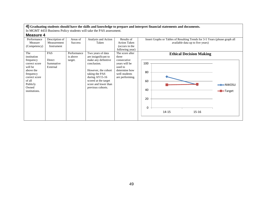| <b>Measure 4</b> |  |
|------------------|--|
|------------------|--|

| Performance                                                                                                         | Description of            | Areas of                           | Analysis and Action                                                                                                                           | Results of                                                                    | Insert Graphs or Tables of Resulting Trends for 3-5 Years (please graph all |
|---------------------------------------------------------------------------------------------------------------------|---------------------------|------------------------------------|-----------------------------------------------------------------------------------------------------------------------------------------------|-------------------------------------------------------------------------------|-----------------------------------------------------------------------------|
| Measure<br>(Competency)                                                                                             | Measurement<br>Instrument | <b>Success</b>                     | Taken                                                                                                                                         | <b>Action Taken</b><br>(occurs in the<br>following year)                      | available data up to five years)                                            |
| The<br>institution<br>frequency                                                                                     | PAS<br>Direct             | Performance<br>is above<br>target. | Two years of data<br>are insignificant to<br>make any definitive                                                                              | The score after<br>three<br>consecutive                                       | <b>Ethical Decision Making</b>                                              |
| correct score<br>will be<br>above the<br>frequency<br>correct score<br>of all<br>Publicly<br>Owned<br>institutions. | Summative<br>External     |                                    | conclusion.<br>However, the cohort<br>taking the PAS<br>during $AY15-16$<br>scored at the target<br>score and lower than<br>previous cohorts. | years will be<br>used to<br>determine how<br>well students<br>are performing. | 100<br>80<br>60<br>$\rightarrow\hspace{-.05in}NWOSU$<br>40<br>-Target       |
|                                                                                                                     |                           |                                    |                                                                                                                                               |                                                                               | 20<br>0<br>$15 - 16$<br>$14 - 15$                                           |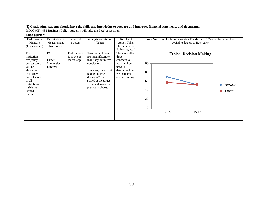| <b>Measure 5</b> |  |
|------------------|--|
|------------------|--|

| Performance   | Description of | Areas of       | Analysis and Action  | Results of          | Insert Graphs or Tables of Resulting Trends for 3-5 Years (please graph all |  |  |  |
|---------------|----------------|----------------|----------------------|---------------------|-----------------------------------------------------------------------------|--|--|--|
| Measure       | Measurement    | <b>Success</b> | Taken                | <b>Action Taken</b> | available data up to five years)                                            |  |  |  |
| (Competency)  | Instrument     |                |                      | (occurs in the      |                                                                             |  |  |  |
|               |                |                |                      | following year)     |                                                                             |  |  |  |
| The           | PAS            | Performance    | Two years of data    | The score after     | <b>Ethical Decision Making</b>                                              |  |  |  |
| institution   |                | is above or    | are insignificant to | three               |                                                                             |  |  |  |
| frequency     | Direct         | meets target.  | make any definitive  | consecutive         |                                                                             |  |  |  |
| correct score | Summative      |                | conclusion.          | years will be       | 100                                                                         |  |  |  |
| will be       | External       |                |                      | used to             |                                                                             |  |  |  |
| above the     |                |                | However, the cohort  | determine how       |                                                                             |  |  |  |
| frequency     |                |                | taking the PAS       | well students       | 80                                                                          |  |  |  |
| correct score |                |                | during $AY15-16$     | are performing.     |                                                                             |  |  |  |
| of all        |                |                | scored at the target |                     | 60                                                                          |  |  |  |
| institutions  |                |                | score and lower than |                     | $\rightarrow\hspace{-.05in}NWOSU$                                           |  |  |  |
| inside the    |                |                | previous cohorts.    |                     |                                                                             |  |  |  |
| United        |                |                |                      |                     | 40<br>-Target                                                               |  |  |  |
| States.       |                |                |                      |                     |                                                                             |  |  |  |
|               |                |                |                      |                     |                                                                             |  |  |  |
|               |                |                |                      |                     | 20                                                                          |  |  |  |
|               |                |                |                      |                     |                                                                             |  |  |  |
|               |                |                |                      |                     | 0                                                                           |  |  |  |
|               |                |                |                      |                     |                                                                             |  |  |  |
|               |                |                |                      |                     | $15 - 16$<br>$14 - 15$                                                      |  |  |  |
|               |                |                |                      |                     |                                                                             |  |  |  |
|               |                |                |                      |                     |                                                                             |  |  |  |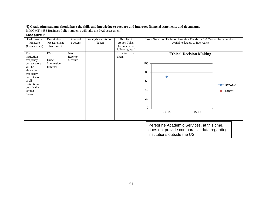In MGMT 4433 Business Policy students will take the PAS assessment.

| <b>Measure 2</b> |  |
|------------------|--|
|------------------|--|

| Performance   | Description of | Areas of       | Analysis and Action | Results of          | Insert Graphs or Tables of Resulting Trends for 3-5 Years (please graph all |  |  |  |  |
|---------------|----------------|----------------|---------------------|---------------------|-----------------------------------------------------------------------------|--|--|--|--|
| Measure       | Measurement    | <b>Success</b> | Taken               | <b>Action Taken</b> | available data up to five years)                                            |  |  |  |  |
| (Competency)  | Instrument     |                |                     | (occurs in the      |                                                                             |  |  |  |  |
|               |                |                |                     | following year)     |                                                                             |  |  |  |  |
| The           | PAS            | N/A            |                     | No action to be     | <b>Ethical Decision Making</b>                                              |  |  |  |  |
| institution   |                | Refer to       |                     | taken.              |                                                                             |  |  |  |  |
| frequency     | Direct         | Measure 1.     |                     |                     |                                                                             |  |  |  |  |
| correct score | Summative      |                |                     |                     | 100                                                                         |  |  |  |  |
| will be       | External       |                |                     |                     |                                                                             |  |  |  |  |
| above the     |                |                |                     |                     |                                                                             |  |  |  |  |
| frequency     |                |                |                     |                     | 80                                                                          |  |  |  |  |
| correct score |                |                |                     |                     |                                                                             |  |  |  |  |
| of all        |                |                |                     |                     | 60                                                                          |  |  |  |  |
| institutions  |                |                |                     |                     | $\rightarrow$ NWOSU                                                         |  |  |  |  |
| outside the   |                |                |                     |                     |                                                                             |  |  |  |  |
| United        |                |                |                     |                     | 40<br>-Target                                                               |  |  |  |  |
| States.       |                |                |                     |                     |                                                                             |  |  |  |  |
|               |                |                |                     |                     |                                                                             |  |  |  |  |
|               |                |                |                     |                     | 20                                                                          |  |  |  |  |
|               |                |                |                     |                     |                                                                             |  |  |  |  |
|               |                |                |                     |                     | 0                                                                           |  |  |  |  |
|               |                |                |                     |                     |                                                                             |  |  |  |  |
|               |                |                |                     |                     | $14 - 15$<br>15-16                                                          |  |  |  |  |
|               |                |                |                     |                     |                                                                             |  |  |  |  |
|               |                |                |                     |                     |                                                                             |  |  |  |  |

Peregrine Academic Services, at this time, does not provide comparative data regarding institutions outside the US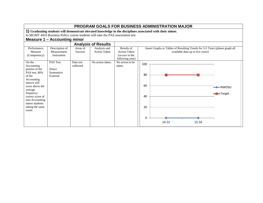|                                                                                                                                                                                                                               |                                             |                            |                                                                                 |                                                                        | <b>PROGRAM GOALS FOR BUSINESS ADMINISTRATION MAJOR</b>                                                          |  |
|-------------------------------------------------------------------------------------------------------------------------------------------------------------------------------------------------------------------------------|---------------------------------------------|----------------------------|---------------------------------------------------------------------------------|------------------------------------------------------------------------|-----------------------------------------------------------------------------------------------------------------|--|
|                                                                                                                                                                                                                               |                                             |                            |                                                                                 |                                                                        | 1) Graduating students will demonstrate elevated knowledge in the disciplines associated with their minor.      |  |
|                                                                                                                                                                                                                               |                                             |                            | In MGMT 4433 Business Policy course students will take the PAS assessment test. |                                                                        |                                                                                                                 |  |
|                                                                                                                                                                                                                               | Measure 1 – Accounting minor                |                            |                                                                                 |                                                                        |                                                                                                                 |  |
|                                                                                                                                                                                                                               |                                             |                            | <b>Analysis of Results</b>                                                      |                                                                        |                                                                                                                 |  |
| Performance<br>Measure<br>(Competency)                                                                                                                                                                                        | Description of<br>Measurement<br>Instrument | Areas of<br><b>Success</b> | Analysis and<br><b>Action Taken</b>                                             | Results of<br><b>Action Taken</b><br>(occurs in the<br>following year) | Insert Graphs or Tables of Resulting Trends for 3-5 Years (please graph all<br>available data up to five years) |  |
| On the<br>Accounting<br>portion of the<br>PAS test, 80%<br>of the<br>Accounting<br>minors will<br>score above the<br>average<br>frequency<br>correct score of<br>non-Accounting<br>minor students<br>taking the same<br>exam. | PAS Test<br>Direct<br>Summative<br>External | Data not<br>collected.     | No action taken.                                                                | No action to be.<br>taken.                                             | 100<br>80<br>60<br><b>-B</b> -Target<br>40<br>20<br>$\Omega$<br>14-15<br>15-16                                  |  |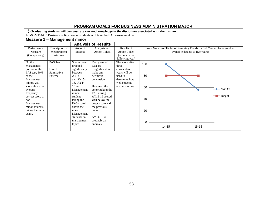|                           |                              |                        |                                                                                 |                                |     | <b>PROGRAM GOALS FOR BUSINESS ADMINISTRATION MAJOR</b>                                                     |                                  |          |
|---------------------------|------------------------------|------------------------|---------------------------------------------------------------------------------|--------------------------------|-----|------------------------------------------------------------------------------------------------------------|----------------------------------|----------|
|                           |                              |                        |                                                                                 |                                |     | 1) Graduating students will demonstrate elevated knowledge in the disciplines associated with their minor. |                                  |          |
|                           |                              |                        | In MGMT 4433 Business Policy course students will take the PAS assessment test. |                                |     |                                                                                                            |                                  |          |
|                           | Measure 1 - Management minor |                        |                                                                                 |                                |     |                                                                                                            |                                  |          |
|                           |                              |                        | <b>Analysis of Results</b>                                                      |                                |     |                                                                                                            |                                  |          |
| Performance               | Description of               | Areas of               | Analysis and                                                                    | Results of                     |     | Insert Graphs or Tables of Resulting Trends for 3-5 Years (please graph all                                |                                  |          |
| Measure                   | Measurement                  | <b>Success</b>         | <b>Action Taken</b>                                                             | <b>Action Taken</b>            |     |                                                                                                            | available data up to five years) |          |
| (Competency)              | Instrument                   |                        |                                                                                 | (occurs in the                 |     |                                                                                                            |                                  |          |
|                           |                              |                        |                                                                                 | following year)                |     |                                                                                                            |                                  |          |
| On the                    | <b>PAS Test</b>              | Scores have            | Two years of                                                                    | The score after                | 100 |                                                                                                            |                                  |          |
| Management                |                              | dropped                | data are                                                                        | three                          |     |                                                                                                            |                                  |          |
| portion of the            | <b>Direct</b>                | significantly          | insignificant to                                                                | consecutive                    |     |                                                                                                            |                                  |          |
| PAS test, 80%             | Summative                    | between                | make any                                                                        | years will be                  |     |                                                                                                            |                                  |          |
| of the                    | External                     | AY14-15                | definitive                                                                      | used to                        | 80  |                                                                                                            |                                  |          |
| Management<br>minors will |                              | and AY15-<br>16. AY14- | conclusion.                                                                     | determine how<br>well students |     |                                                                                                            |                                  |          |
| score above the           |                              | 15 each                | However, the                                                                    |                                |     |                                                                                                            |                                  |          |
|                           |                              | Management             | cohort taking the                                                               | are performing                 | 60  |                                                                                                            |                                  | $-NWOSU$ |
| average<br>frequency      |                              | minor                  | PAS during                                                                      |                                |     |                                                                                                            |                                  |          |
| correct score of          |                              | student                | AY15-16 scored                                                                  |                                |     |                                                                                                            |                                  | -Target  |
| $non-$                    |                              | taking the             | well below the                                                                  |                                | 40  |                                                                                                            |                                  |          |
| Management                |                              | PAS scored             | target score and                                                                |                                |     |                                                                                                            |                                  |          |
| minor students            |                              | above the              | the previous                                                                    |                                |     |                                                                                                            |                                  |          |
| taking the same           |                              | non-                   | cohort.                                                                         |                                | 20  |                                                                                                            |                                  |          |
| exam.                     |                              | Management             |                                                                                 |                                |     |                                                                                                            |                                  |          |
|                           |                              | students on            | $AY14-15$ is                                                                    |                                |     |                                                                                                            |                                  |          |
|                           |                              | management             | probably an                                                                     |                                | 0   |                                                                                                            |                                  |          |
|                           |                              | topics.                | anomaly.                                                                        |                                |     | 14-15                                                                                                      | $15 - 16$                        |          |
|                           |                              |                        |                                                                                 |                                |     |                                                                                                            |                                  |          |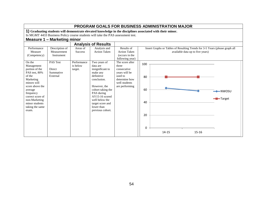| Performance<br>Measure<br>(Competency)                                                                                                                                                                                      | Measure 1 - Marketing minor<br>Description of<br>Measurement<br>Instrument | Areas of<br><b>Success</b>         | In MGMT 4433 Business Policy course students will take the PAS assessment test.<br><b>Analysis of Results</b><br>Analysis and<br><b>Action Taken</b>                                                                                 | Results of<br><b>Action Taken</b><br>(occurs in the                                                                                        |                                  | <b>PROGRAM GOALS FOR BUSINESS ADMINISTRATION MAJOR</b><br>1) Graduating students will demonstrate elevated knowledge in the disciplines associated with their minor.<br>Insert Graphs or Tables of Resulting Trends for 3-5 Years (please graph all | available data up to five years) |                                  |
|-----------------------------------------------------------------------------------------------------------------------------------------------------------------------------------------------------------------------------|----------------------------------------------------------------------------|------------------------------------|--------------------------------------------------------------------------------------------------------------------------------------------------------------------------------------------------------------------------------------|--------------------------------------------------------------------------------------------------------------------------------------------|----------------------------------|-----------------------------------------------------------------------------------------------------------------------------------------------------------------------------------------------------------------------------------------------------|----------------------------------|----------------------------------|
| On the<br>Management<br>portion of the<br>PAS test, 80%<br>of the<br>Marketing<br>minors will<br>score above the<br>average<br>frequency<br>correct score of<br>non-Marketing<br>minor students<br>taking the same<br>exam. | PAS Test<br>Direct<br>Summative<br>External                                | Performance<br>is below<br>target. | Two years of<br>data are<br>insignificant to<br>make any<br>definitive<br>conclusion.<br>However, the<br>cohort taking the<br>PAS during<br>$AY15-16$ scored<br>well below the<br>target score and<br>lower than<br>previous cohort. | following year)<br>The score after<br>three<br>consecutive<br>years will be<br>used to<br>determine how<br>well students<br>are performing | 100<br>80<br>60<br>40<br>20<br>0 | 14-15                                                                                                                                                                                                                                               | $15 - 16$                        | $\rightarrow$ NWOSU<br>-D-Target |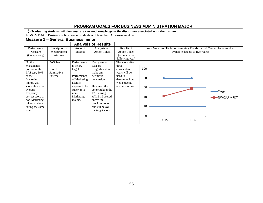|                                                                                                                                                                                                                             | PROGRAM GOALS FOR BUSINESS ADMINISTRATION MAJOR                                                            |                                                                                                                                               |                                                                                                                                                                                                                                    |                                                                                                                          |                                  |       |                                  |                                                                             |  |
|-----------------------------------------------------------------------------------------------------------------------------------------------------------------------------------------------------------------------------|------------------------------------------------------------------------------------------------------------|-----------------------------------------------------------------------------------------------------------------------------------------------|------------------------------------------------------------------------------------------------------------------------------------------------------------------------------------------------------------------------------------|--------------------------------------------------------------------------------------------------------------------------|----------------------------------|-------|----------------------------------|-----------------------------------------------------------------------------|--|
|                                                                                                                                                                                                                             | 1) Graduating students will demonstrate elevated knowledge in the disciplines associated with their minor. |                                                                                                                                               |                                                                                                                                                                                                                                    |                                                                                                                          |                                  |       |                                  |                                                                             |  |
|                                                                                                                                                                                                                             | In MGMT 4433 Business Policy course students will take the PAS assessment test.                            |                                                                                                                                               |                                                                                                                                                                                                                                    |                                                                                                                          |                                  |       |                                  |                                                                             |  |
|                                                                                                                                                                                                                             | Measure 1 - General Business minor                                                                         |                                                                                                                                               |                                                                                                                                                                                                                                    |                                                                                                                          |                                  |       |                                  |                                                                             |  |
|                                                                                                                                                                                                                             |                                                                                                            |                                                                                                                                               | <b>Analysis of Results</b>                                                                                                                                                                                                         |                                                                                                                          |                                  |       |                                  |                                                                             |  |
| Performance<br>Measure<br>(Competency)                                                                                                                                                                                      | Description of<br>Measurement<br>Instrument                                                                | Areas of<br><b>Success</b>                                                                                                                    | Analysis and<br><b>Action Taken</b>                                                                                                                                                                                                | Results of<br><b>Action Taken</b><br>(occurs in the<br>following year)                                                   |                                  |       | available data up to five years) | Insert Graphs or Tables of Resulting Trends for 3-5 Years (please graph all |  |
| On the<br>Management<br>portion of the<br>PAS test, 80%<br>of the<br>Marketing<br>minors will<br>score above the<br>average<br>frequency<br>correct score of<br>non-Marketing<br>minor students<br>taking the same<br>exam. | <b>PAS Test</b><br>Direct<br>Summative<br>External                                                         | Performance<br>is below<br>target.<br>Performance<br>of Marketing<br>Majors<br>appears to be<br>superior to<br>$non-$<br>Marketing<br>majors. | Two years of<br>data are<br>insignificant to<br>make any<br>definitive<br>conclusion.<br>However, the<br>cohort taking the<br>PAS during<br>AY15-16 scored<br>above the<br>previous cohort<br>but still below<br>the target score. | The score after<br>three<br>consecutive<br>years will be<br>used to<br>determine how<br>well students<br>are performing. | 100<br>80<br>60<br>40<br>20<br>0 | 14-15 | $15 - 16$                        | <b>→</b> Target<br><del>–■ </del> NWOSU MRKT                                |  |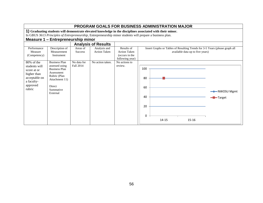|                                                                                                                | <b>PROGRAM GOALS FOR BUSINESS ADMINISTRATION MAJOR</b>                                                                                                                                                                   |                                 |                                     |                                                                        |                                                                                                                 |  |  |  |  |
|----------------------------------------------------------------------------------------------------------------|--------------------------------------------------------------------------------------------------------------------------------------------------------------------------------------------------------------------------|---------------------------------|-------------------------------------|------------------------------------------------------------------------|-----------------------------------------------------------------------------------------------------------------|--|--|--|--|
|                                                                                                                | 1) Graduating students will demonstrate elevated knowledge in the disciplines associated with their minor.<br>In GBUS 3613 Principles of Entrepreneurship, Entrepreneurship minor students will prepare a business plan. |                                 |                                     |                                                                        |                                                                                                                 |  |  |  |  |
|                                                                                                                | <b>Measure 1 - Entrepreneurship minor</b>                                                                                                                                                                                |                                 |                                     |                                                                        |                                                                                                                 |  |  |  |  |
|                                                                                                                |                                                                                                                                                                                                                          |                                 | <b>Analysis of Results</b>          |                                                                        |                                                                                                                 |  |  |  |  |
| Performance<br>Measure<br>(Competency)                                                                         | Description of<br>Measurement<br>Instrument                                                                                                                                                                              | Areas of<br><b>Success</b>      | Analysis and<br><b>Action Taken</b> | Results of<br><b>Action Taken</b><br>(occurs in the<br>following year) | Insert Graphs or Tables of Resulting Trends for 3-5 Years (please graph all<br>available data up to five years) |  |  |  |  |
| 80% of the<br>students will<br>score at or<br>higher than<br>acceptable on<br>a faculty-<br>approved<br>rubric | <b>Business Plan</b><br>assessed using<br><b>Business Plan</b><br>Assessment<br>Rubric (Plan<br>Attachment 11)<br>Direct<br>Summative<br>External                                                                        | No data for<br><b>Fall 2014</b> | No action taken.                    | No actions to<br>review.                                               | 100<br>80<br>60<br>$\longrightarrow$ NWOSU Mgmt<br>40<br>$\blacksquare$ Target<br>20<br>0<br>14-15<br>15-16     |  |  |  |  |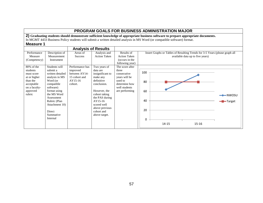### **PROGRAM GOALS FOR BUSINESS ADMINISTRATION MAJOR 2) Graduating students should demonstrate sufficient knowledge of appropriate business software to prepare appropriate documents.** In MGMT 4433 Business Policy students will submit a written detailed analysis in MS Word (or compatible software) format. **Measure 1 Analysis of Results** Results of Areas of Analysis and Insert Graphs or Tables of Resulting Trends for 3-5 Years (please graph all Performance Description of  $\mathbf{I}$ Measure Measurement Success Action Taken Action Taken available data up to five years)

| Measure<br>(Competency)                                                                                               | Measurement<br>Instrument                                                                                                                                                                                                | <b>Success</b>                                                                      | <b>Action Taken</b>                                                                                                                                                                                                   | <b>Action Taken</b><br>(occurs in the<br>following year)                                                                | available data up to five years)                           |                                |
|-----------------------------------------------------------------------------------------------------------------------|--------------------------------------------------------------------------------------------------------------------------------------------------------------------------------------------------------------------------|-------------------------------------------------------------------------------------|-----------------------------------------------------------------------------------------------------------------------------------------------------------------------------------------------------------------------|-------------------------------------------------------------------------------------------------------------------------|------------------------------------------------------------|--------------------------------|
| 80% of the<br>students<br>must score<br>at or higher<br>than the<br>acceptable<br>on a faculty-<br>approved<br>rubric | Students will<br>submit a<br>written detailed<br>analysis in MS<br>Word (or<br>compatible<br>software)<br>format using<br>the MS Word<br>Assessment<br>Rubric (Plan<br>Attachment 10)<br>Direct<br>Summative<br>Internal | Performance has<br>improved<br>between AY14-<br>15 cohort and<br>AY15-16<br>cohort. | Two years of<br>data are<br>insignificant to<br>make any<br>definitive<br>conclusion.<br>However, the<br>cohort taking<br>the PAS during<br>$AY15-16$<br>scored well<br>above previous<br>cohort and<br>above target. | The score after<br>three<br>consecutive<br>years will be<br>used to<br>determine how<br>well students<br>are performing | 100<br>80<br>60<br>40<br>20<br>0<br>$15 - 16$<br>$14 - 15$ | $\rightarrow$ NWOSU<br>-Target |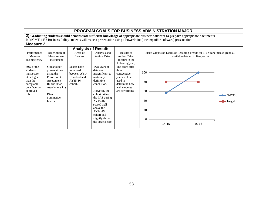### **PROGRAM GOALS FOR BUSINESS ADMINISTRATION MAJOR 2) Graduating students should demonstrate sufficient knowledge of appropriate business software to prepare appropriate documents** In MGMT 4433 Business Policy students will make a presentation using a PowerPoint (or compatible software) presentation. **Measure 2 Analysis of Results** Performance Measure (Competency) Description of Measurement Instrument Areas of Success Analysis and Action Taken Results of Action Taken (occurs in the following year) Insert Graphs or Tables of Resulting Trends for 3-5 Years (please graph all available data up to five years) 80% of the students must score at or higher than the acceptable on a facultyapproved rubric Stockholder presentations using the PowerPoint Assessment Rubric (Plan Attachment 11) Direct Summative Internal Scores have improved between AY14- 15 cohort and AY15-16 cohort. Two years of data are insignificant to make any definitive conclusion. However, the cohort taking the PAS during AY15-16 scored well above the AY14-15 cohort and slightly above the target score. The score after three consecutive years will be used to determine how well students are performing 0 20 40 60 80 100 14-15 15-16  $\longrightarrow$ NWOSU **-D**-Target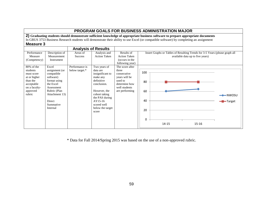|           |                                                                                                                                  |                            |  |  | PROGRAM GOALS FOR BUSINESS ADMINISTRATION MAJOR                                                                                          |  |  |  |
|-----------|----------------------------------------------------------------------------------------------------------------------------------|----------------------------|--|--|------------------------------------------------------------------------------------------------------------------------------------------|--|--|--|
|           | 2) Graduating students should demonstrate sufficient knowledge of appropriate business software to prepare appropriate documents |                            |  |  |                                                                                                                                          |  |  |  |
|           |                                                                                                                                  |                            |  |  | In GBUS 3753 Business Research students will demonstrate their ability to use Excel (or compatible software) by completing an assignment |  |  |  |
| Measure 3 |                                                                                                                                  |                            |  |  |                                                                                                                                          |  |  |  |
|           |                                                                                                                                  | <b>Analysis of Results</b> |  |  |                                                                                                                                          |  |  |  |
|           |                                                                                                                                  |                            |  |  |                                                                                                                                          |  |  |  |

|                                                                                                                       |                                                                                                                                                                    |                                  | Alialysis Ul Nesults                                                                                                                                                                              |                                                                                                                         |                                                                                                                 |
|-----------------------------------------------------------------------------------------------------------------------|--------------------------------------------------------------------------------------------------------------------------------------------------------------------|----------------------------------|---------------------------------------------------------------------------------------------------------------------------------------------------------------------------------------------------|-------------------------------------------------------------------------------------------------------------------------|-----------------------------------------------------------------------------------------------------------------|
| Performance<br>Measure<br>(Competency)                                                                                | Description of<br>Measurement<br>Instrument                                                                                                                        | Areas of<br><b>Success</b>       | Analysis and<br><b>Action Taken</b>                                                                                                                                                               | Results of<br><b>Action Taken</b><br>(occurs in the<br>following year)                                                  | Insert Graphs or Tables of Resulting Trends for 3-5 Years (please graph all<br>available data up to five years) |
| 80% of the<br>students<br>must score<br>at or higher<br>than the<br>acceptable<br>on a faculty-<br>approved<br>rubric | Excel<br>assignment (or<br>compatible<br>software)<br>format using<br>the Excel<br>Assessment<br>Rubric (Plan<br>Attachment 13)<br>Direct<br>Summative<br>Internal | Performance is<br>below target.* | Two years of<br>data are<br>insignificant to<br>make any<br>definitive<br>conclusion.<br>However, the<br>cohort taking<br>the PAS during<br>$AY15-16$<br>scored well<br>below the target<br>score | The score after<br>three<br>consecutive<br>years will be<br>used to<br>determine how<br>well students<br>are performing | 100<br>80<br>60<br>$\rightarrow$ NWOSU<br>40<br>-Target<br>20<br>0<br>15-16<br>$14 - 15$                        |

\* Data for Fall 2014/Spring 2015 was based on the use of a non-approved rubric.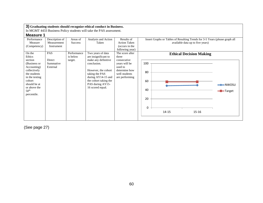| <b>Measure 1</b><br>Performance                                                                                                                                       | Description of                  | Areas of                | Analysis and Action                                                                                                                                                | Results of                                                                                  | Insert Graphs or Tables of Resulting Trends for 3-5 Years (please graph all                    |
|-----------------------------------------------------------------------------------------------------------------------------------------------------------------------|---------------------------------|-------------------------|--------------------------------------------------------------------------------------------------------------------------------------------------------------------|---------------------------------------------------------------------------------------------|------------------------------------------------------------------------------------------------|
| Measure<br>(Competency)                                                                                                                                               | Measurement<br>Instrument       | <b>Success</b>          | Taken                                                                                                                                                              | <b>Action Taken</b><br>(occurs in the<br>following year)                                    | available data up to five years)                                                               |
| On the<br>Ethics                                                                                                                                                      | <b>PAS</b>                      | Performance<br>is below | Two years of data<br>are insignificant to                                                                                                                          | The score after<br>three                                                                    | <b>Ethical Decision Making</b>                                                                 |
| section<br>(Business or<br>Accounting)<br>collectively<br>the students<br>in the testing<br>cohort<br>should be at<br>or above the<br>50 <sup>th</sup><br>percentile. | Direct<br>Summative<br>External | target.                 | make any definitive<br>conclusion.<br>However, the cohort<br>taking the PAS<br>during AY14-15 and<br>the cohort taking the<br>PAS during AY15-<br>16 scored equal. | consecutive<br>years will be<br>used to<br>determine how<br>well students<br>are performing | 100<br>80<br>60<br>$\rightarrow$ NWOSU<br>40<br><b>-</b> ∎ Target<br>20<br>0<br>14-15<br>15-16 |

(See page 27)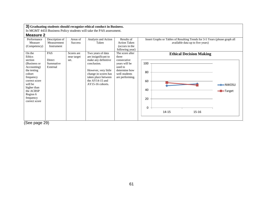|                                                                                                                                                                                |                                                           |                                                         | 3) Graduating students should recognize ethical conduct in Business.                                                                                 |                                                                                                    |                                                                                                                                                   |
|--------------------------------------------------------------------------------------------------------------------------------------------------------------------------------|-----------------------------------------------------------|---------------------------------------------------------|------------------------------------------------------------------------------------------------------------------------------------------------------|----------------------------------------------------------------------------------------------------|---------------------------------------------------------------------------------------------------------------------------------------------------|
|                                                                                                                                                                                |                                                           |                                                         | In MGMT 4433 Business Policy students will take the PAS assessment.                                                                                  |                                                                                                    |                                                                                                                                                   |
| Measure 2                                                                                                                                                                      |                                                           |                                                         |                                                                                                                                                      |                                                                                                    |                                                                                                                                                   |
| Performance<br>Measure<br>(Competency)<br>On the<br>Ethics                                                                                                                     | Description of<br>Measurement<br>Instrument<br><b>PAS</b> | Areas of<br><b>Success</b><br>Scores are<br>near target | Analysis and Action<br>Taken<br>Two years of data<br>are insignificant to                                                                            | Results of<br><b>Action Taken</b><br>(occurs in the<br>following year)<br>The score after<br>three | Insert Graphs or Tables of Resulting Trends for 3-5 Years (please graph all<br>available data up to five years)<br><b>Ethical Decision Making</b> |
| section<br>(Business or<br>Accounting)<br>the testing<br>cohort<br>frequency<br>correct score<br>will be<br>higher than<br>the ACBSP<br>Region 6<br>frequency<br>correct score | <b>Direct</b><br>Summative<br>External                    | set.                                                    | make any definitive<br>conclusion.<br>However, very little<br>change in scores has<br>taken place between<br>the $AY14-15$ and<br>$AY15-16$ cohorts. | consecutive<br>years will be<br>used to<br>determine how<br>well students<br>are performing.       | 100<br>80<br>60<br>——NWOSU<br>40<br><del>-</del> Target<br>20<br>0<br>14-15<br>15-16                                                              |
|                                                                                                                                                                                |                                                           |                                                         |                                                                                                                                                      |                                                                                                    |                                                                                                                                                   |

(See page 29)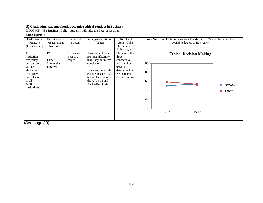| <b>Measure 3</b>                                                                                                                                  | In MGMT 4433 Business Policy students will take the PAS assessment. |                                     |                                                                                                                                                                                                   |                                                                                                                          |                                                                                                                                                     |  |  |  |  |
|---------------------------------------------------------------------------------------------------------------------------------------------------|---------------------------------------------------------------------|-------------------------------------|---------------------------------------------------------------------------------------------------------------------------------------------------------------------------------------------------|--------------------------------------------------------------------------------------------------------------------------|-----------------------------------------------------------------------------------------------------------------------------------------------------|--|--|--|--|
| Performance<br>Measure<br>(Competency)                                                                                                            | Description of<br>Measurement<br>Instrument                         | Areas of<br><b>Success</b>          | Analysis and Action<br>Taken                                                                                                                                                                      | Results of<br><b>Action Taken</b><br>(occurs in the<br>following year)                                                   | Insert Graphs or Tables of Resulting Trends for 3-5 Years (please graph all<br>available data up to five years)                                     |  |  |  |  |
| The<br>institution<br>frequency<br>correct score<br>will be<br>above the<br>frequency<br>correct score<br>of all<br><b>ACBSP</b><br>institutions. | <b>PAS</b><br><b>Direct</b><br>Summative<br>External<br>$- -$       | Scores are<br>near or at<br>target. | Two years of data<br>are insignificant to<br>make any definitive<br>conclusion.<br>However, very little<br>change in scores has<br>taken place between<br>the $AY14-15$ and<br>$AY15-16$ cohorts. | The score after<br>three<br>consecutive<br>years will be<br>used to<br>determine how<br>well students<br>are performing. | <b>Ethical Decision Making</b><br>100<br>80<br>60<br>$\rightarrow$ NWOSU<br>40<br>$\blacksquare$ Target<br>20<br>$\Omega$<br>$14 - 15$<br>$15 - 16$ |  |  |  |  |

(See page 30)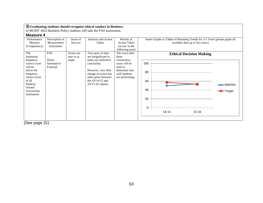|                                                                                                                                                                |                                                           |                                          | 3) Graduating students should recognize ethical conduct in Business.                                                                                                         |                                                                                                       |                                                                                                                                                                                                                                                                                                                 |
|----------------------------------------------------------------------------------------------------------------------------------------------------------------|-----------------------------------------------------------|------------------------------------------|------------------------------------------------------------------------------------------------------------------------------------------------------------------------------|-------------------------------------------------------------------------------------------------------|-----------------------------------------------------------------------------------------------------------------------------------------------------------------------------------------------------------------------------------------------------------------------------------------------------------------|
|                                                                                                                                                                |                                                           |                                          | In MGMT 4433 Business Policy students will take the PAS assessment.                                                                                                          |                                                                                                       |                                                                                                                                                                                                                                                                                                                 |
| Measure 4                                                                                                                                                      |                                                           |                                          |                                                                                                                                                                              |                                                                                                       |                                                                                                                                                                                                                                                                                                                 |
| Performance<br>Measure<br>(Competency)<br>The                                                                                                                  | Description of<br>Measurement<br>Instrument<br><b>PAS</b> | Areas of<br><b>Success</b><br>Scores are | Analysis and Action<br>Taken<br>Two years of data                                                                                                                            | Results of<br><b>Action Taken</b><br>(occurs in the<br>following year)<br>The score after             | Insert Graphs or Tables of Resulting Trends for 3-5 Years (please graph all<br>available data up to five years)                                                                                                                                                                                                 |
| institution<br>frequency<br>correct score<br>will be<br>above the<br>frequency<br>correct score<br>of all<br>Publicly<br>Owned<br>Universities<br>institutions | Direct<br>Summative<br>External                           | near or at<br>target.                    | are insignificant to<br>make any definitive<br>conclusion.<br>However, very little<br>change in scores has<br>taken place between<br>the $AY14-15$ and<br>$AY15-16$ cohorts. | three<br>consecutive<br>years will be<br>used to<br>determine how<br>well students<br>are performing. | <b>Ethical Decision Making</b><br>100<br>80<br>60<br>the contract of the contract of the contract of the contract of the contract of the contract of the contract of the contract of the contract of the contract of the contract of the contract of the contract of the contract o<br>40<br>-Target<br>20<br>0 |
|                                                                                                                                                                |                                                           |                                          |                                                                                                                                                                              |                                                                                                       | $14 - 15$<br>15-16                                                                                                                                                                                                                                                                                              |

(See page 31)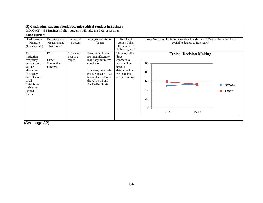| <b>Measure 5</b>                                                                                                                                                    |                                             |                                     |                                                                                                                                                                                                 |                                                                                                                          |                                                                                                                                                                   |
|---------------------------------------------------------------------------------------------------------------------------------------------------------------------|---------------------------------------------|-------------------------------------|-------------------------------------------------------------------------------------------------------------------------------------------------------------------------------------------------|--------------------------------------------------------------------------------------------------------------------------|-------------------------------------------------------------------------------------------------------------------------------------------------------------------|
| Performance<br>Measure<br>(Competency)                                                                                                                              | Description of<br>Measurement<br>Instrument | Areas of<br><b>Success</b>          | Analysis and Action<br>Taken                                                                                                                                                                    | Results of<br><b>Action Taken</b><br>(occurs in the<br>following year)                                                   | Insert Graphs or Tables of Resulting Trends for 3-5 Years (please graph all<br>available data up to five years)                                                   |
| The<br>institution<br>frequency<br>correct score<br>will be<br>above the<br>frequency<br>correct score<br>of all<br>institutions<br>inside the<br>United<br>States. | PAS<br>Direct<br>Summative<br>External      | Scores are<br>near or at<br>target. | Two years of data<br>are insignificant to<br>make any definitive<br>conclusion.<br>However, very little<br>change in scores has<br>taken place between<br>the AY14-15 and<br>$AY15-16$ cohorts. | The score after<br>three<br>consecutive<br>years will be<br>used to<br>determine how<br>well students<br>are performing. | <b>Ethical Decision Making</b><br>100<br>80<br>60<br>the contract of the contract of the<br>$-$ NWOSU<br>40<br><b>-</b> ∎ Target<br>20<br>0<br>14-15<br>$15 - 16$ |

(See page 32)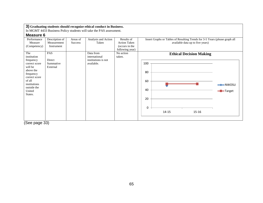In MGMT 4433 Business Policy students will take the PAS assessment.

## **Measure 6**

| iiivuuui v                             |                                             |                            |                              |                                                     |                                                                                                                 |
|----------------------------------------|---------------------------------------------|----------------------------|------------------------------|-----------------------------------------------------|-----------------------------------------------------------------------------------------------------------------|
| Performance<br>Measure<br>(Competency) | Description of<br>Measurement<br>Instrument | Areas of<br><b>Success</b> | Analysis and Action<br>Taken | Results of<br><b>Action Taken</b><br>(occurs in the | Insert Graphs or Tables of Resulting Trends for 3-5 Years (please graph all<br>available data up to five years) |
|                                        |                                             |                            |                              | following year)                                     |                                                                                                                 |
| The<br>institution                     | PAS                                         |                            | Data from<br>international   | No action<br>taken.                                 | <b>Ethical Decision Making</b>                                                                                  |
| frequency                              | Direct                                      |                            | institutions is not          |                                                     |                                                                                                                 |
| correct score                          | Summative                                   |                            | available.                   |                                                     | 100                                                                                                             |
| will be<br>above the                   | External                                    |                            |                              |                                                     |                                                                                                                 |
| frequency                              |                                             |                            |                              |                                                     | 80                                                                                                              |
| correct score                          |                                             |                            |                              |                                                     |                                                                                                                 |
| of all                                 |                                             |                            |                              |                                                     | 60                                                                                                              |
| institutions                           |                                             |                            |                              |                                                     |                                                                                                                 |
| outside the                            |                                             |                            |                              |                                                     | 40                                                                                                              |
| United                                 |                                             |                            |                              |                                                     | -Target                                                                                                         |
| States.                                |                                             |                            |                              |                                                     |                                                                                                                 |
|                                        |                                             |                            |                              |                                                     | 20                                                                                                              |
|                                        |                                             |                            |                              |                                                     |                                                                                                                 |
|                                        |                                             |                            |                              |                                                     | 0                                                                                                               |
|                                        |                                             |                            |                              |                                                     | $14 - 15$<br>$15 - 16$                                                                                          |
|                                        |                                             |                            |                              |                                                     |                                                                                                                 |
|                                        |                                             |                            |                              |                                                     |                                                                                                                 |
| $\sim$                                 | $\sim$                                      |                            |                              |                                                     |                                                                                                                 |

(See page 33)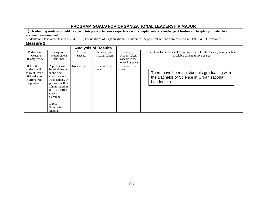## **PROGRAM GOALS FOR ORGANIZATIONAL LEADERSHIP MAJOR**

**1) Graduating students should be able to integrate prior work experience with complimentary knowledge of business principles grounded in an academic environment.**

Students will take a pre-test in ORGL 3113, Foundations of Organizational Leadership. A post-test will be administered in ORGL 4553 Capstone

|                                                                                                    |                                                                                                                                                                                                            |                            | <b>Analysis of Results</b>          |                                                                        |                                                                                                                 |
|----------------------------------------------------------------------------------------------------|------------------------------------------------------------------------------------------------------------------------------------------------------------------------------------------------------------|----------------------------|-------------------------------------|------------------------------------------------------------------------|-----------------------------------------------------------------------------------------------------------------|
| Performance<br>Measure<br>(Competency)                                                             | Description of<br>Measurement<br>Instrument                                                                                                                                                                | Areas of<br><b>Success</b> | Analysis and<br><b>Action Taken</b> | Results of<br><b>Action Taken</b><br>(occurs in the<br>following year) | Insert Graphs or Tables of Resulting Trends for 3-5 Years (please graph all<br>available data up to five years) |
| 80% of the<br>students will<br>show at least a<br>50% reduction<br>in errors from<br>the pre-test. | A pretest will<br>be administered<br>in the first<br>ORGL class -<br>Foundations. A<br>post-test will be<br>administered in<br>the final ORGL<br>$class -$<br>Capstone.<br>Direct<br>Summative<br>Internal | No students.               | No action to be.<br>taken.          | No action to be.<br>taken.                                             | There have been no students graduating with<br>the Bachelor of Science in Organizational<br>Leadership.         |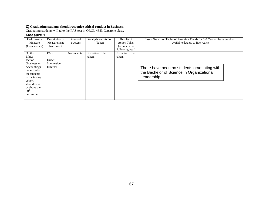Graduating students will take the PAS test in ORGL 4553 Capstone class.

| Performance      | Description of | Areas of       | Analysis and Action | Results of          | Insert Graphs or Tables of Resulting Trends for 3-5 Years (please graph all |  |
|------------------|----------------|----------------|---------------------|---------------------|-----------------------------------------------------------------------------|--|
| Measure          | Measurement    | <b>Success</b> | Taken               | <b>Action Taken</b> | available data up to five years)                                            |  |
| (Competency)     | Instrument     |                |                     | (occurs in the      |                                                                             |  |
|                  |                |                |                     | following year)     |                                                                             |  |
| On the           | <b>PAS</b>     | No students.   | No action to be     | No action to be     |                                                                             |  |
| Ethics           |                |                | taken.              | taken.              |                                                                             |  |
| section          | Direct         |                |                     |                     |                                                                             |  |
| (Business or     | Summative      |                |                     |                     |                                                                             |  |
| Accounting)      | External       |                |                     |                     | There have been no students graduating with                                 |  |
| collectively     |                |                |                     |                     |                                                                             |  |
| the students     |                |                |                     |                     | the Bachelor of Science in Organizational                                   |  |
| in the testing   |                |                |                     |                     | Leadership.                                                                 |  |
| cohort           |                |                |                     |                     |                                                                             |  |
| should be at     |                |                |                     |                     |                                                                             |  |
| or above the     |                |                |                     |                     |                                                                             |  |
| 50 <sup>th</sup> |                |                |                     |                     |                                                                             |  |
| percentile.      |                |                |                     |                     |                                                                             |  |
|                  |                |                |                     |                     |                                                                             |  |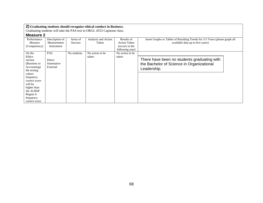Graduating students will take the PAS test in ORGL 4553 Capstone class.

| Performance   | Description of | Areas of       | Analysis and Action | Results of          | Insert Graphs or Tables of Resulting Trends for 3-5 Years (please graph all |
|---------------|----------------|----------------|---------------------|---------------------|-----------------------------------------------------------------------------|
| Measure       | Measurement    | <b>Success</b> | Taken               | <b>Action Taken</b> | available data up to five years)                                            |
| (Competency)  | Instrument     |                |                     | (occurs in the      |                                                                             |
|               |                |                |                     | following year)     |                                                                             |
| On the        | <b>PAS</b>     | No students.   | No action to be     | No action to be     |                                                                             |
| Ethics        |                |                | taken.              | taken.              |                                                                             |
| section       | Direct         |                |                     |                     | There have been no students graduating with                                 |
| (Business or  | Summative      |                |                     |                     | the Bachelor of Science in Organizational                                   |
| Accounting)   | External       |                |                     |                     | Leadership.                                                                 |
| the testing   |                |                |                     |                     |                                                                             |
| cohort        |                |                |                     |                     |                                                                             |
| frequency     |                |                |                     |                     |                                                                             |
| correct score |                |                |                     |                     |                                                                             |
| will be       |                |                |                     |                     |                                                                             |
| higher than   |                |                |                     |                     |                                                                             |
| the ACBSP     |                |                |                     |                     |                                                                             |
| Region 6      |                |                |                     |                     |                                                                             |
| frequency     |                |                |                     |                     |                                                                             |
| correct score |                |                |                     |                     |                                                                             |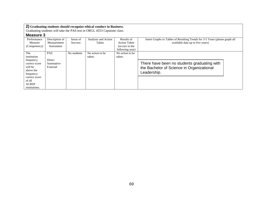Graduating students will take the PAS test in ORGL 4553 Capstone class.

| Performance   | Description of | Areas of       | Analysis and Action | Results of          | Insert Graphs or Tables of Resulting Trends for 3-5 Years (please graph all |
|---------------|----------------|----------------|---------------------|---------------------|-----------------------------------------------------------------------------|
| Measure       | Measurement    | <b>Success</b> | Taken               | <b>Action Taken</b> | available data up to five years)                                            |
| (Competency)  | Instrument     |                |                     | (occurs in the      |                                                                             |
|               |                |                |                     | following year)     |                                                                             |
| The           | <b>PAS</b>     | No students.   | No action to be     | No action to be     |                                                                             |
| institution   |                |                | taken.              | taken.              |                                                                             |
| frequency     | Direct         |                |                     |                     |                                                                             |
| correct score | Summative      |                |                     |                     | There have been no students graduating with                                 |
| will be       | External       |                |                     |                     | the Bachelor of Science in Organizational                                   |
| above the     |                |                |                     |                     |                                                                             |
| frequency     |                |                |                     |                     | Leadership.                                                                 |
| correct score |                |                |                     |                     |                                                                             |
| of all        |                |                |                     |                     |                                                                             |
| <b>ACBSP</b>  |                |                |                     |                     |                                                                             |
| institutions. |                |                |                     |                     |                                                                             |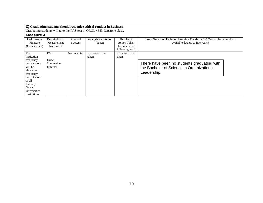Graduating students will take the PAS test in ORGL 4553 Capstone class.

| Performance   | Description of | Areas of       | Analysis and Action | Results of          | Insert Graphs or Tables of Resulting Trends for 3-5 Years (please graph all |
|---------------|----------------|----------------|---------------------|---------------------|-----------------------------------------------------------------------------|
| Measure       | Measurement    | <b>Success</b> | Taken               | <b>Action Taken</b> | available data up to five years)                                            |
| (Competency)  | Instrument     |                |                     | (occurs in the      |                                                                             |
|               |                |                |                     | following year)     |                                                                             |
| The           | PAS            | No students.   | No action to be     | No action to be.    |                                                                             |
| institution   |                |                | taken.              | taken.              |                                                                             |
| frequency     | Direct         |                |                     |                     |                                                                             |
| correct score | Summative      |                |                     |                     | There have been no students graduating with                                 |
| will be       | External       |                |                     |                     | the Bachelor of Science in Organizational                                   |
| above the     |                |                |                     |                     |                                                                             |
| frequency     |                |                |                     |                     | Leadership.                                                                 |
| correct score |                |                |                     |                     |                                                                             |
| of all        |                |                |                     |                     |                                                                             |
| Publicly      |                |                |                     |                     |                                                                             |
| Owned         |                |                |                     |                     |                                                                             |
| Universities  |                |                |                     |                     |                                                                             |
| institutions  |                |                |                     |                     |                                                                             |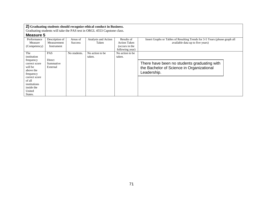Graduating students will take the PAS test in ORGL 4553 Capstone class.

| IIIVUJU V     |                |                |                     |                     |                                                                             |  |
|---------------|----------------|----------------|---------------------|---------------------|-----------------------------------------------------------------------------|--|
| Performance   | Description of | Areas of       | Analysis and Action | Results of          | Insert Graphs or Tables of Resulting Trends for 3-5 Years (please graph all |  |
| Measure       | Measurement    | <b>Success</b> | Taken               | <b>Action Taken</b> | available data up to five years)                                            |  |
| (Competency)  | Instrument     |                |                     | (occurs in the      |                                                                             |  |
|               |                |                |                     | following year)     |                                                                             |  |
| The           | <b>PAS</b>     | No students.   | No action to be     | No action to be     |                                                                             |  |
| institution   |                |                | taken.              | taken.              |                                                                             |  |
| frequency     | Direct         |                |                     |                     |                                                                             |  |
| correct score | Summative      |                |                     |                     | There have been no students graduating with                                 |  |
| will be       | External       |                |                     |                     | the Bachelor of Science in Organizational                                   |  |
| above the     |                |                |                     |                     | Leadership.                                                                 |  |
| frequency     |                |                |                     |                     |                                                                             |  |
| correct score |                |                |                     |                     |                                                                             |  |
| of all        |                |                |                     |                     |                                                                             |  |
| institutions  |                |                |                     |                     |                                                                             |  |
| inside the    |                |                |                     |                     |                                                                             |  |
| United        |                |                |                     |                     |                                                                             |  |
| States.       |                |                |                     |                     |                                                                             |  |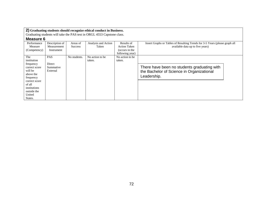Graduating students will take the PAS test in ORGL 4553 Capstone class.

### **Measure 6**

| Performance   | Description of | Areas of       | Analysis and Action | Results of          | Insert Graphs or Tables of Resulting Trends for 3-5 Years (please graph all |
|---------------|----------------|----------------|---------------------|---------------------|-----------------------------------------------------------------------------|
| Measure       | Measurement    | <b>Success</b> | Taken               | <b>Action Taken</b> | available data up to five years)                                            |
| (Competency)  | Instrument     |                |                     | (occurs in the      |                                                                             |
|               |                |                |                     | following year)     |                                                                             |
| The           | <b>PAS</b>     | No students.   | No action to be     | No action to be     |                                                                             |
| institution   |                |                | taken.              | taken.              |                                                                             |
| frequency     | Direct         |                |                     |                     |                                                                             |
| correct score | Summative      |                |                     |                     | There have been no students graduating with                                 |
| will be       | External       |                |                     |                     | the Bachelor of Science in Organizational                                   |
| above the     |                |                |                     |                     | Leadership.                                                                 |
| frequency     |                |                |                     |                     |                                                                             |
| correct score |                |                |                     |                     |                                                                             |
| of all        |                |                |                     |                     |                                                                             |
| institutions  |                |                |                     |                     |                                                                             |
| outside the   |                |                |                     |                     |                                                                             |
| United        |                |                |                     |                     |                                                                             |
| States.       |                |                |                     |                     |                                                                             |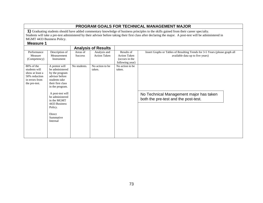# **PROGRAM GOALS FOR TECHNICAL MANAGEMENT MAJOR**

**1)** Graduating students should have added commentary knowledge of business principles to the skills gained from their career specialty. Students will take a pre-test administered by their advisor before taking their first class after declaring the major. A post-test will be administered in MGMT 4433 Business Policy.

#### **Measure 1**

|                 |                                                                                                                   |              | <b>Analysis of Results</b> |                     |                                                                                 |
|-----------------|-------------------------------------------------------------------------------------------------------------------|--------------|----------------------------|---------------------|---------------------------------------------------------------------------------|
| Performance     | Description of                                                                                                    | Areas of     | Analysis and               | Results of          | Insert Graphs or Tables of Resulting Trends for 3-5 Years (please graph all     |
| Measure         | Measurement                                                                                                       | Success      | <b>Action Taken</b>        | <b>Action Taken</b> | available data up to five years)                                                |
| (Competency)    | Instrument                                                                                                        |              |                            | (occurs in the      |                                                                                 |
|                 |                                                                                                                   |              |                            | following year)     |                                                                                 |
| $80\%$ of the   | A pretest will                                                                                                    | No students. | No action to be            | No action to be     |                                                                                 |
| students will   | be administered                                                                                                   |              | taken.                     | taken.              |                                                                                 |
| show at least a | by the program                                                                                                    |              |                            |                     |                                                                                 |
| 50% reduction   | advisor before                                                                                                    |              |                            |                     |                                                                                 |
| in errors from  | students take                                                                                                     |              |                            |                     |                                                                                 |
| the pre-test.   | their first class                                                                                                 |              |                            |                     |                                                                                 |
|                 | in the program.                                                                                                   |              |                            |                     |                                                                                 |
|                 | A post-test will<br>be administered<br>in the MGMT<br>4433 Business<br>Policy.<br>Direct<br>Summative<br>Internal |              |                            |                     | No Technical Management major has taken<br>both the pre-test and the post-test. |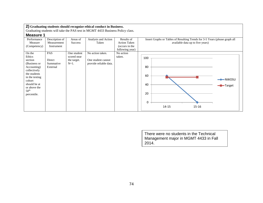Graduating students will take the PAS test in MGMT 4433 Business Policy class.

## **Measure 1**

| INGUJULU I       |                |             |                        |                     |                                                                             |  |
|------------------|----------------|-------------|------------------------|---------------------|-----------------------------------------------------------------------------|--|
| Performance      | Description of | Areas of    | Analysis and Action    | Results of          | Insert Graphs or Tables of Resulting Trends for 3-5 Years (please graph all |  |
| Measure          | Measurement    | Success     | Taken                  | <b>Action Taken</b> | available data up to five years)                                            |  |
| (Competency)     | Instrument     |             |                        | (occurs in the      |                                                                             |  |
|                  |                |             |                        | following year)     |                                                                             |  |
| On the           | PAS            | One student | No action taken.       | No action           |                                                                             |  |
| Ethics           |                | scored near |                        | taken.              | 100                                                                         |  |
| section          | Direct         | the target. | One student cannot     |                     |                                                                             |  |
| (Business or     | Summative      | $N=1$ .     | provide reliable data. |                     |                                                                             |  |
| Accounting)      | External       |             |                        |                     | 80                                                                          |  |
| collectively     |                |             |                        |                     |                                                                             |  |
| the students     |                |             |                        |                     | 60                                                                          |  |
| in the testing   |                |             |                        |                     | $\rightarrow$ NWOSU                                                         |  |
| cohort           |                |             |                        |                     |                                                                             |  |
| should be at     |                |             |                        |                     | 40<br>-Target                                                               |  |
| or above the     |                |             |                        |                     |                                                                             |  |
| 50 <sup>th</sup> |                |             |                        |                     | 20                                                                          |  |
| percentile.      |                |             |                        |                     |                                                                             |  |
|                  |                |             |                        |                     |                                                                             |  |
|                  |                |             |                        |                     | 0                                                                           |  |
|                  |                |             |                        |                     | $14 - 15$<br>15-16                                                          |  |
|                  |                |             |                        |                     |                                                                             |  |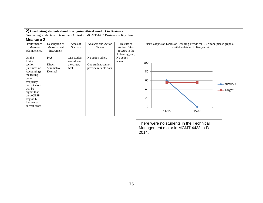Graduating students will take the PAS test in MGMT 4433 Business Policy class.

### **Measure 2**

| Performance<br>Measure<br>(Competency)                                                                                                                                                             | Description of<br>Measurement<br>Instrument   | Areas of<br><b>Success</b>                           | Analysis and Action<br>Taken                                     | Results of<br><b>Action Taken</b><br>(occurs in the<br>following year) | Insert Graphs or Tables of Resulting Trends for 3-5 Years (please graph all<br>available data up to five years) |
|----------------------------------------------------------------------------------------------------------------------------------------------------------------------------------------------------|-----------------------------------------------|------------------------------------------------------|------------------------------------------------------------------|------------------------------------------------------------------------|-----------------------------------------------------------------------------------------------------------------|
| On the<br>Ethics<br>section<br>(Business or<br>Accounting)<br>the testing<br>cohort<br>frequency<br>correct score<br>will be<br>higher than<br>the ACBSP<br>Region 6<br>frequency<br>correct score | <b>PAS</b><br>Direct<br>Summative<br>External | One student<br>scored near<br>the target.<br>$N=1$ . | No action taken.<br>One student cannot<br>provide reliable data. | No action<br>taken.                                                    | 100<br>80<br>60<br>$\rightarrow$ NWOSU<br>40<br>-Target<br>20<br>0<br>14-15<br>15-16                            |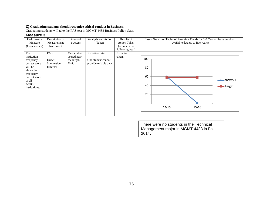Graduating students will take the PAS test in MGMT 4433 Business Policy class.

## **Measure 3**

| iiivuuui v    |                |                |                        |                     |                                                                             |  |
|---------------|----------------|----------------|------------------------|---------------------|-----------------------------------------------------------------------------|--|
| Performance   | Description of | Areas of       | Analysis and Action    | Results of          | Insert Graphs or Tables of Resulting Trends for 3-5 Years (please graph all |  |
| Measure       | Measurement    | <b>Success</b> | Taken                  | <b>Action Taken</b> | available data up to five years)                                            |  |
| (Competency)  | Instrument     |                |                        | (occurs in the      |                                                                             |  |
|               |                |                |                        | following year)     |                                                                             |  |
| The           | PAS            | One student    | No action taken.       | No action           |                                                                             |  |
| institution   |                | scored near    |                        | taken.              |                                                                             |  |
| frequency     | Direct         | the target.    | One student cannot     |                     | 100                                                                         |  |
| correct score | Summative      | $N=1$ .        | provide reliable data. |                     |                                                                             |  |
| will be       | External       |                |                        |                     | 80                                                                          |  |
| above the     |                |                |                        |                     |                                                                             |  |
| frequency     |                |                |                        |                     |                                                                             |  |
| correct score |                |                |                        |                     | 60                                                                          |  |
| of all        |                |                |                        |                     | $\rightarrow$ NWOSU                                                         |  |
| ACBSP         |                |                |                        |                     | 40                                                                          |  |
| institutions. |                |                |                        |                     | -Target                                                                     |  |
|               |                |                |                        |                     |                                                                             |  |
|               |                |                |                        |                     | 20                                                                          |  |
|               |                |                |                        |                     |                                                                             |  |
|               |                |                |                        |                     | 0                                                                           |  |
|               |                |                |                        |                     |                                                                             |  |
|               |                |                |                        |                     | 14-15<br>$15 - 16$                                                          |  |
|               |                |                |                        |                     |                                                                             |  |
|               |                |                |                        |                     |                                                                             |  |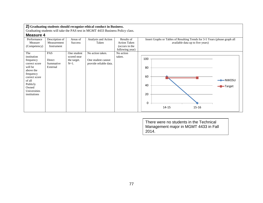Graduating students will take the PAS test in MGMT 4433 Business Policy class.

## **Measure 4**

| uuu.u +       |                |             |                        |                     |                                                                             |
|---------------|----------------|-------------|------------------------|---------------------|-----------------------------------------------------------------------------|
| Performance   | Description of | Areas of    | Analysis and Action    | Results of          | Insert Graphs or Tables of Resulting Trends for 3-5 Years (please graph all |
| Measure       | Measurement    | Success     | Taken                  | <b>Action Taken</b> | available data up to five years)                                            |
| (Competency)  | Instrument     |             |                        | (occurs in the      |                                                                             |
|               |                |             |                        | following year)     |                                                                             |
| The           | PAS            | One student | No action taken.       | No action           |                                                                             |
| institution   |                | scored near |                        | taken.              |                                                                             |
| frequency     | Direct         | the target. | One student cannot     |                     | 100                                                                         |
| correct score | Summative      | $N=1$ .     | provide reliable data. |                     |                                                                             |
| will be       | External       |             |                        |                     | 80                                                                          |
| above the     |                |             |                        |                     |                                                                             |
| frequency     |                |             |                        |                     |                                                                             |
| correct score |                |             |                        |                     | 60                                                                          |
| of all        |                |             |                        |                     | $\rightarrow$ NWOSU                                                         |
| Publicly      |                |             |                        |                     | 40                                                                          |
| Owned         |                |             |                        |                     | -Target                                                                     |
| Universities  |                |             |                        |                     |                                                                             |
| institutions  |                |             |                        |                     | 20                                                                          |
|               |                |             |                        |                     |                                                                             |
|               |                |             |                        |                     |                                                                             |
|               |                |             |                        |                     | 0                                                                           |
|               |                |             |                        |                     | 14-15<br>15-16                                                              |
|               |                |             |                        |                     |                                                                             |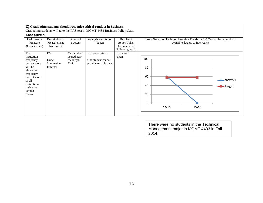Graduating students will take the PAS test in MGMT 4433 Business Policy class.

### **Measure 5**

| uuu           |                |                |                        |                     |                                                                             |  |
|---------------|----------------|----------------|------------------------|---------------------|-----------------------------------------------------------------------------|--|
| Performance   | Description of | Areas of       | Analysis and Action    | Results of          | Insert Graphs or Tables of Resulting Trends for 3-5 Years (please graph all |  |
| Measure       | Measurement    | <b>Success</b> | Taken                  | <b>Action Taken</b> | available data up to five years)                                            |  |
| (Competency)  | Instrument     |                |                        | (occurs in the      |                                                                             |  |
|               |                |                |                        | following year)     |                                                                             |  |
| The           | PAS            | One student    | No action taken.       | No action           |                                                                             |  |
| institution   |                | scored near    |                        | taken.              |                                                                             |  |
| frequency     | Direct         | the target.    | One student cannot     |                     | 100                                                                         |  |
| correct score | Summative      | $N=1$ .        | provide reliable data. |                     |                                                                             |  |
| will be       | External       |                |                        |                     | 80                                                                          |  |
| above the     |                |                |                        |                     |                                                                             |  |
| frequency     |                |                |                        |                     |                                                                             |  |
| correct score |                |                |                        |                     | 60                                                                          |  |
| of all        |                |                |                        |                     | $\rightarrow$ NWOSU                                                         |  |
| institutions  |                |                |                        |                     | 40                                                                          |  |
| inside the    |                |                |                        |                     | -Target                                                                     |  |
| United        |                |                |                        |                     |                                                                             |  |
| States.       |                |                |                        |                     | 20                                                                          |  |
|               |                |                |                        |                     |                                                                             |  |
|               |                |                |                        |                     | 0                                                                           |  |
|               |                |                |                        |                     |                                                                             |  |
|               |                |                |                        |                     | 14-15<br>15-16                                                              |  |
|               |                |                |                        |                     |                                                                             |  |
|               |                |                |                        |                     |                                                                             |  |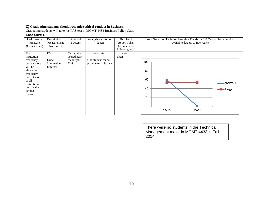Graduating students will take the PAS test in MGMT 4433 Business Policy class.

## **Measure 6**

| IIIVUUMI V    |                |                |                        |                     |                                                                             |                     |
|---------------|----------------|----------------|------------------------|---------------------|-----------------------------------------------------------------------------|---------------------|
| Performance   | Description of | Areas of       | Analysis and Action    | Results of          | Insert Graphs or Tables of Resulting Trends for 3-5 Years (please graph all |                     |
| Measure       | Measurement    | <b>Success</b> | Taken                  | <b>Action Taken</b> | available data up to five years)                                            |                     |
| (Competency)  | Instrument     |                |                        | (occurs in the      |                                                                             |                     |
|               |                |                |                        | following year)     |                                                                             |                     |
| The           | PAS            | One student    | No action taken.       | No action           |                                                                             |                     |
| institution   |                | scored near    |                        | taken.              |                                                                             |                     |
| frequency     | Direct         | the target.    | One student cannot     |                     | 100                                                                         |                     |
| correct score | Summative      | $N=1$ .        | provide reliable data. |                     |                                                                             |                     |
| will be       | External       |                |                        |                     |                                                                             |                     |
| above the     |                |                |                        |                     | 80                                                                          |                     |
| frequency     |                |                |                        |                     |                                                                             |                     |
| correct score |                |                |                        |                     |                                                                             |                     |
| of all        |                |                |                        |                     | 60                                                                          |                     |
| institutions  |                |                |                        |                     |                                                                             | $\rightarrow$ NWOSU |
| outside the   |                |                |                        |                     | 40                                                                          | -Target             |
| United        |                |                |                        |                     |                                                                             |                     |
| States.       |                |                |                        |                     |                                                                             |                     |
|               |                |                |                        |                     | 20                                                                          |                     |
|               |                |                |                        |                     |                                                                             |                     |
|               |                |                |                        |                     | 0                                                                           |                     |
|               |                |                |                        |                     |                                                                             |                     |
|               |                |                |                        |                     | 14-15<br>$15 - 16$                                                          |                     |
|               |                |                |                        |                     |                                                                             |                     |